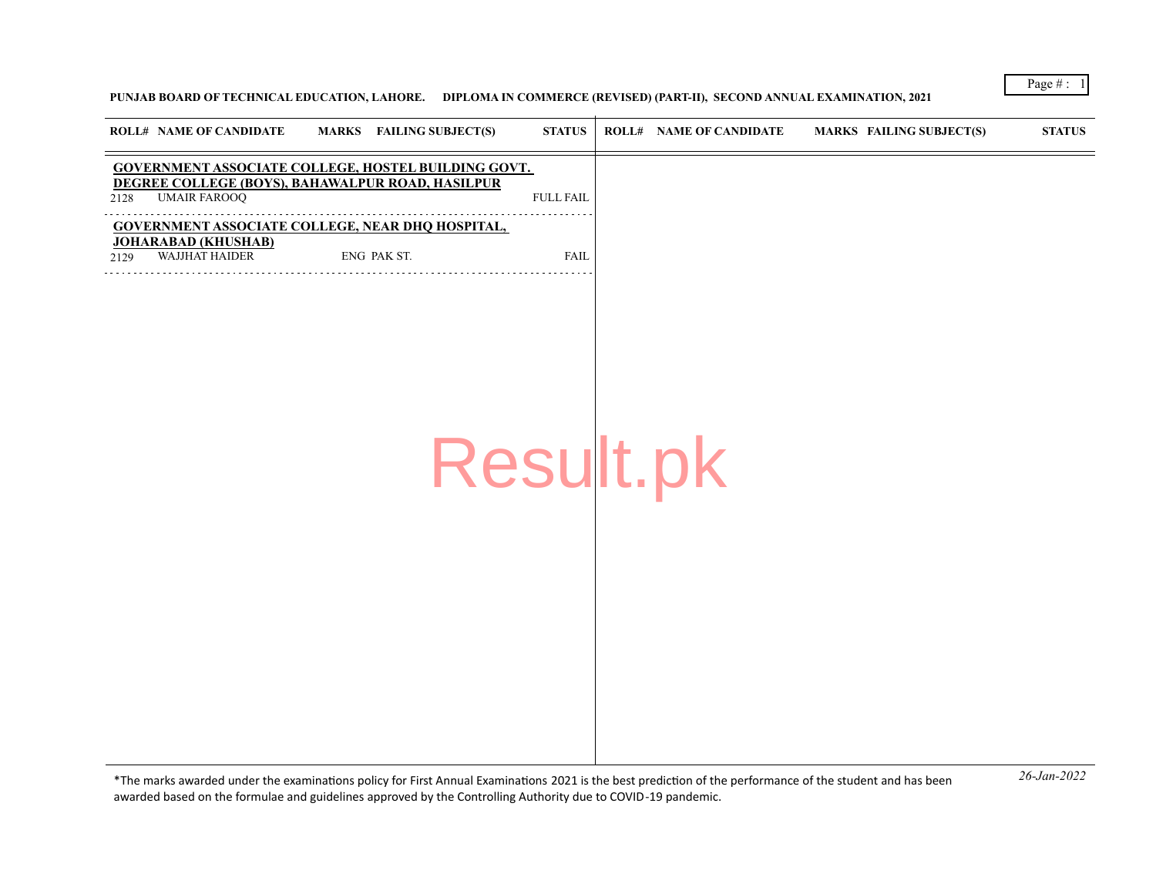## **PUNJAB BOARD OF TECHNICAL EDUCATION, LAHORE. DIPLOMA IN COMMERCE (REVISED) (PART-II), SECOND ANNUAL EXAMINATION, 2021**

|      | <b>ROLL# NAME OF CANDIDATE</b>               | <b>MARKS</b> FAILING SUBJECT(S)                                                                         | <b>STATUS</b>    | <b>ROLL# NAME OF CANDIDATE</b> | MARKS FAILING SUBJECT(S) | <b>STATUS</b> |
|------|----------------------------------------------|---------------------------------------------------------------------------------------------------------|------------------|--------------------------------|--------------------------|---------------|
| 2128 | <b>UMAIR FAROOQ</b>                          | GOVERNMENT ASSOCIATE COLLEGE, HOSTEL BUILDING GOVT.<br>DEGREE COLLEGE (BOYS), BAHAWALPUR ROAD, HASILPUR | <b>FULL FAIL</b> |                                |                          |               |
| 2129 | <b>JOHARABAD (KHUSHAB)</b><br>WAJJHAT HAIDER | <b>GOVERNMENT ASSOCIATE COLLEGE, NEAR DHQ HOSPITAL,</b><br>ENG PAK ST.                                  | FAIL             |                                |                          |               |
|      |                                              |                                                                                                         |                  |                                |                          |               |
|      |                                              |                                                                                                         | Result.pk        |                                |                          |               |
|      |                                              |                                                                                                         |                  |                                |                          |               |
|      |                                              |                                                                                                         |                  |                                |                          |               |
|      |                                              |                                                                                                         |                  |                                |                          |               |

*26-Jan-2022* \*The marks awarded under the examinatons policy for First Annual Examinatons 2021 is the best predicton of the performance of the student and has been awarded based on the formulae and guidelines approved by the Controlling Authority due to COVID-19 pandemic.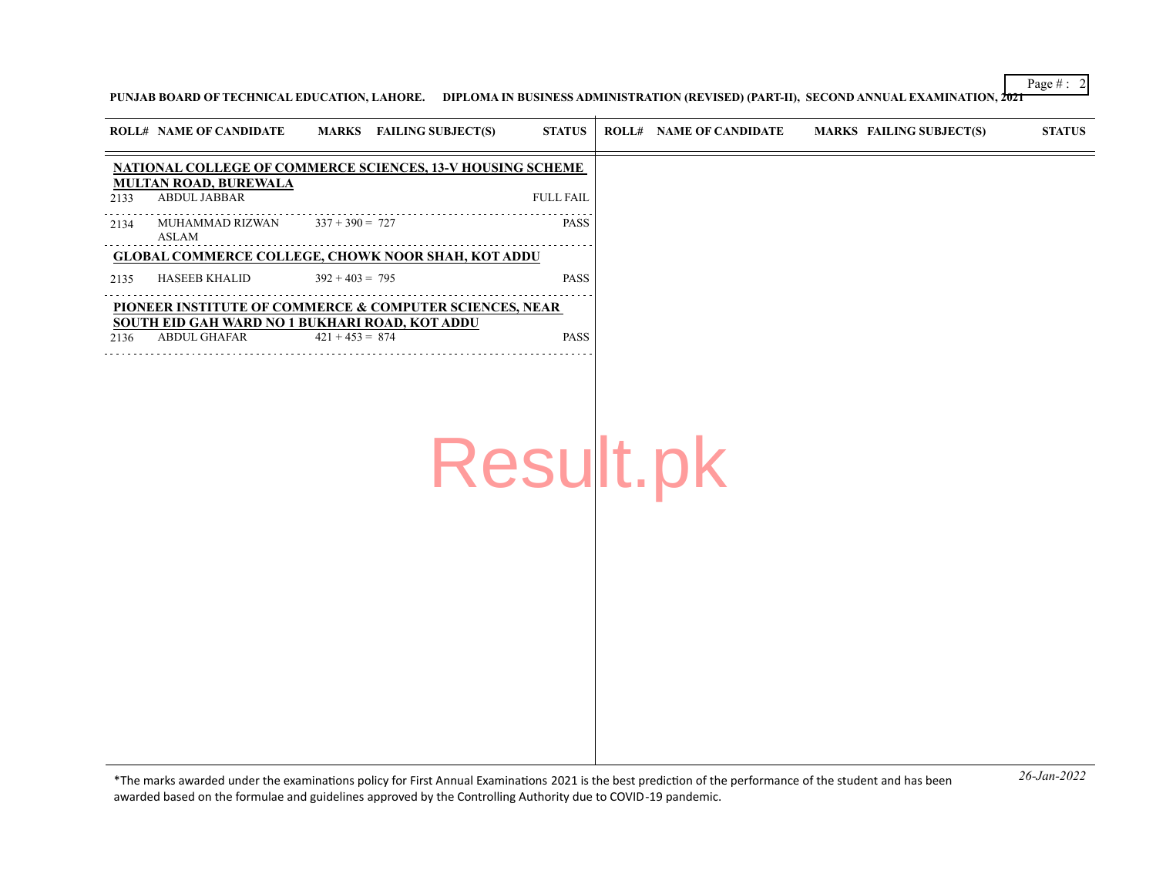**PUNJAB BOARD OF TECHNICAL EDUCATION, LAHORE. DIPLOMA IN BUSINESS ADMINISTRATION (REVISED) (PART-II), SECOND ANNUAL EXAMINATION, 2021**

|      | <b>ROLL# NAME OF CANDIDATE</b>                                    |                   | MARKS FAILING SUBJECT(S) | <b>STATUS</b>    | <b>ROLL# NAME OF CANDIDATE</b> | MARKS FAILING SUBJECT(S) | <b>STATUS</b> |
|------|-------------------------------------------------------------------|-------------------|--------------------------|------------------|--------------------------------|--------------------------|---------------|
|      |                                                                   |                   |                          |                  |                                |                          |               |
|      | <b>NATIONAL COLLEGE OF COMMERCE SCIENCES, 13-V HOUSING SCHEME</b> |                   |                          |                  |                                |                          |               |
| 2133 | <b>MULTAN ROAD, BUREWALA</b><br>ABDUL JABBAR                      |                   |                          | <b>FULL FAIL</b> |                                |                          |               |
| 2134 | MUHAMMAD RIZWAN<br>ASLAM                                          | $337 + 390 = 727$ |                          | <b>PASS</b>      |                                |                          |               |
|      | <b>GLOBAL COMMERCE COLLEGE, CHOWK NOOR SHAH, KOT ADDU</b>         |                   |                          |                  |                                |                          |               |
| 2135 | HASEEB KHALID                                                     | $392 + 403 = 795$ |                          | <b>PASS</b>      |                                |                          |               |
|      | PIONEER INSTITUTE OF COMMERCE & COMPUTER SCIENCES, NEAR           |                   |                          |                  |                                |                          |               |
|      | SOUTH EID GAH WARD NO 1 BUKHARI ROAD, KOT ADDU                    |                   |                          |                  |                                |                          |               |
| 2136 | ABDUL GHAFAR                                                      | $421 + 453 = 874$ |                          | <b>PASS</b>      |                                |                          |               |

Result.pk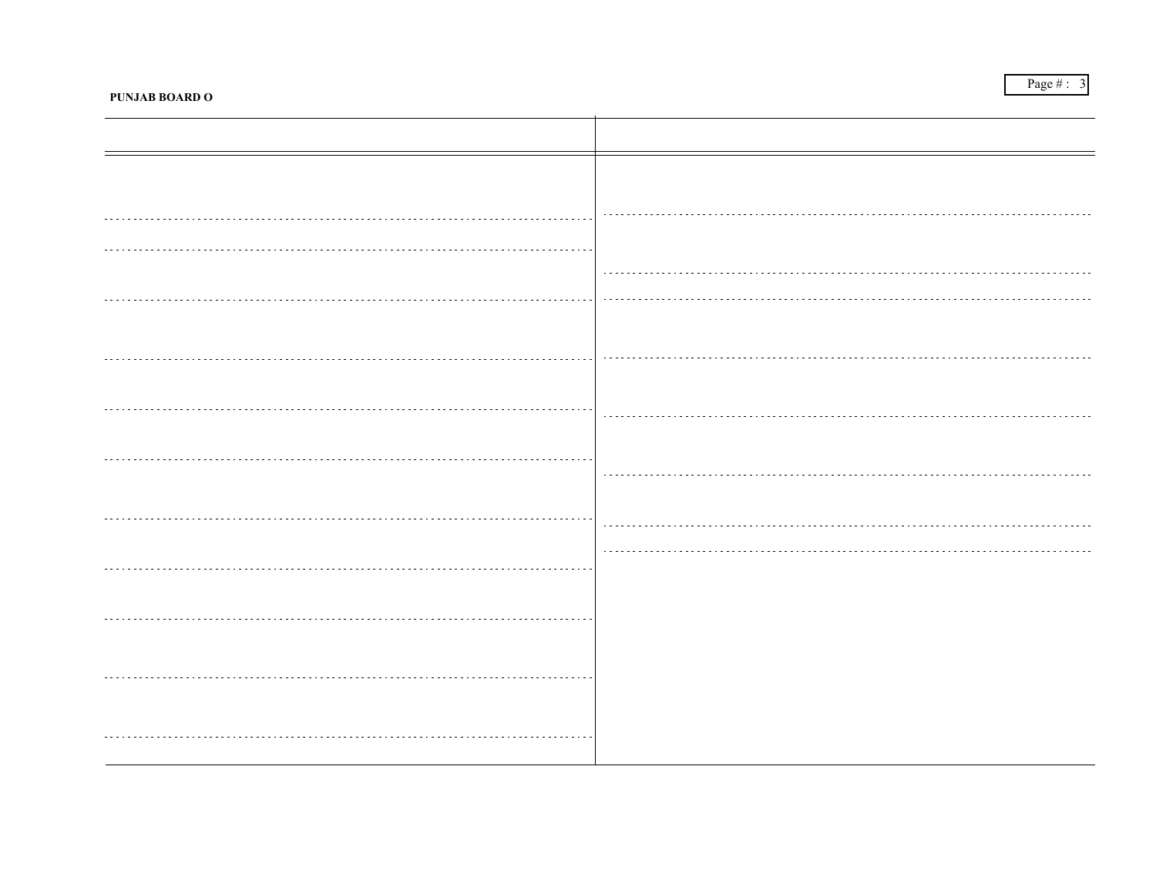PUNJAB BOARD OF TECHNICAL EDUCATION, LAHORE. DIPLOMA IN COMMERCE (OFFICE SECRETARIAL PRACTICE) (PART-II), SECOND ANNUAL EXAMIN<del>ATION, 202F T</del>ECHNICAL E

|      | <b>ROLL# NAME OF CANDIDATE</b>                           | MARKS FAILING SUBJECT(S)                                         | <b>STATUS</b>      |              | <b>ROLL# NAME OF CANDIDATE</b>                | MARKS FAILING SUBJECT(S)                                           | <b>STATUS</b> |
|------|----------------------------------------------------------|------------------------------------------------------------------|--------------------|--------------|-----------------------------------------------|--------------------------------------------------------------------|---------------|
|      |                                                          | <b>GOVERNMENT GRADUATE COLLEGE, CHISHTIAN ROAD,</b>              |                    |              |                                               | <b>GOVERNMENT ASSOCIATE COLLEGE, X-BLOCK, GOVT. COLONY,</b>        |               |
| 2177 | <b>BAHAWALNAGAR</b><br>MOHAMMAD MAZHAR $404 + 326 = 730$ |                                                                  | <b>PASS</b>        | <b>OKARA</b> | 2188 AHSAN UL HAQ                             | ENG ESH CS                                                         | <b>FAIL</b>   |
| 2178 | RAMZAN<br>HASSAN RAZA KHAN                               | ENG URDU ESH CS                                                  | FAIL(No<br>Chance) |              | PAKPATTAN SHARIF                              | <b>GOVERNMENT ASSOCIATE COLLEGE, NEAR CHAK 2/KB HOTTA ROAD,</b>    |               |
|      |                                                          | <b>GOVT. COLLEGE OF COMMERCE, CHEEMA TOWN, BAHAWALPUR</b>        |                    | 2189         | MUHAMMAD TAYYAB                               | Absent                                                             | <b>ABSENT</b> |
| 2179 | MUHAMMAD DILSHAD                                         | <b>ENG PAK.ST</b>                                                | FAIL               |              | 2190 ABID FARID                               | Absent                                                             | ABSENT        |
|      |                                                          | <b>GOVERNMENT ASSOCIATE COLLEGE, NEAR SPORTS STADIUM,</b>        |                    |              |                                               | GOVERNMENT ASSOCIATE COLLEGE, ADHAN ROAD NEAR PATTOKI              |               |
| 2180 | BHAKKAR<br>SHAFIQ-UR-REHMAN                              | Absent                                                           | <b>ABSENT</b>      | 2191         | <b>SUGAR MILL, PATTOKI</b><br>SHABBIR HUSSAIN | $404 + 313 = 717$                                                  | <b>PASS</b>   |
|      |                                                          | <b>GOVERNMENT GRADUATE COLLEGE, BLOCK NO 38, DERA GHAZI KHAN</b> |                    |              |                                               | <b>GOVERNMENT ASSOCIATE COLLEGE, SAID PUR SCHEME # 2 SATTELITE</b> |               |
| 2181 | MUHAMMAD RIZWAN                                          | ENG URDU PAK.ST ESH CS                                           | <b>FAIL</b>        |              | TOWN, RAWALPINDI<br>2192 SHEROZ ASLAM         | CS                                                                 | <b>FAIL</b>   |
|      |                                                          | <b>GOVERNMENT GRADUATE COLLEGE, SATELLITE TOWN, JHANG</b>        |                    |              |                                               | <b>GOVERNMENT GRADUATE COLLEGE, DOSEHRA GROUND,</b>                |               |
| 2182 | <b>GHULAM ABBAS</b>                                      | $320 + 334 = 654$                                                | <b>PASS</b>        |              | <b>SHEIKHUPURA</b>                            |                                                                    |               |
|      |                                                          | <b>GOVERNMENT ASSOCIATE COLLEGE, MINI BY PASS, RAILWAY ROAD,</b> |                    | 2193         | <b>NADEEM AHMED</b>                           | ENG URDU PAK.ST ESH CS                                             | FAIL          |
| 2183 | <b>KOT ADDU</b><br>MUHAMMAD ISHAQ                        | ENG ESH CS                                                       | FAIL               |              |                                               | <b>GOVERNMENT ASSOCIATE COLLEGE, , TAUNSA SHARIF</b>               |               |
|      |                                                          |                                                                  |                    | 2194         | WASSEM AHMED                                  | ESH CS                                                             | FAIL          |
|      |                                                          | GOVERNMENT ASSOCIATE COLLEGE, ALLAMA IOBAL TOWN, LAHORE          |                    | 2195         | MUHAMMAD SAJID                                | CS.                                                                | FAIL.         |
| 2184 | HAFIZ NOUMAN ASHRAF                                      | <b>ESH</b>                                                       | FAIL               |              |                                               |                                                                    |               |
|      |                                                          | <b>GOVERNMENT GRADUATE COLLEGE, COLLEGE ROAD, LAYYAH</b>         |                    |              |                                               |                                                                    |               |
| 2185 | IJAZ HUSSAIN                                             | URDU CS                                                          | <b>FAIL</b>        |              |                                               |                                                                    |               |
|      |                                                          | GOVERNMENT ASSOCIATE COLLEGE, NEAR OFFICER COLONY,               |                    |              |                                               |                                                                    |               |
|      | <b>MIANWALI</b><br>2186 KASHIF IQBAL                     | URDU BIT-II CS                                                   | FAII.              |              |                                               |                                                                    |               |
|      |                                                          | ASIAN COLLEGE OF COMMERCE, JAMAN CHANDOWAL ROAD, OPP.            |                    |              |                                               |                                                                    |               |
| 2187 | NAROWAL PUBLIC SCHOOL, NAROWAL<br><b>ADEEL RAZA</b>      | $324 + 335 = 659$                                                | <b>PASS</b>        |              |                                               |                                                                    |               |
|      |                                                          |                                                                  |                    |              |                                               |                                                                    |               |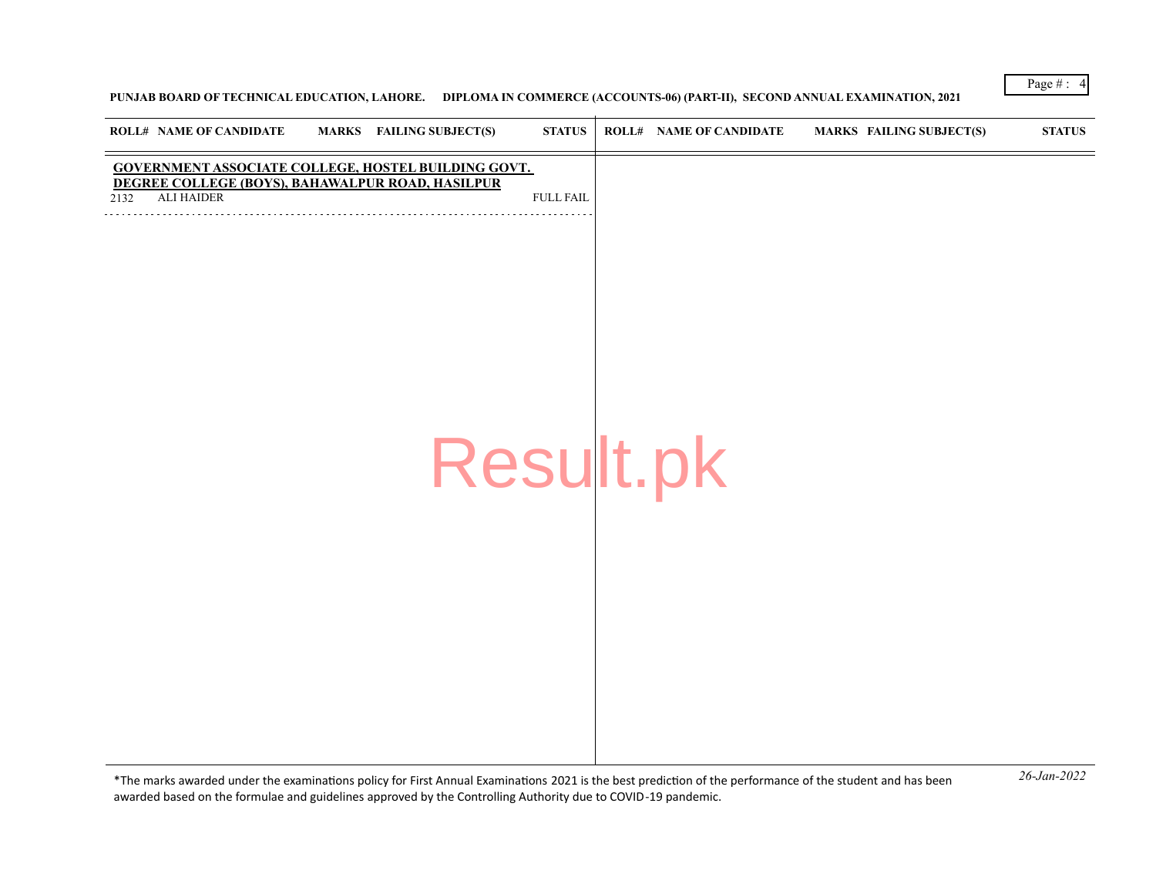# **PUNJAB BOARD OF TECHNICAL EDUCATION, LAHORE. DIPLOMA IN COMMERCE (ACCOUNTS-06) (PART-II), SECOND ANNUAL EXAMINATION, 2021**

|      | <b>ROLL# NAME OF CANDIDATE</b>                                        | MARKS FAILING SUBJECT(S)                            | <b>STATUS</b>    | <b>ROLL# NAME OF CANDIDATE</b> | <b>MARKS FAILING SUBJECT(S)</b> | <b>STATUS</b> |
|------|-----------------------------------------------------------------------|-----------------------------------------------------|------------------|--------------------------------|---------------------------------|---------------|
| 2132 | DEGREE COLLEGE (BOYS), BAHAWALPUR ROAD, HASILPUR<br><b>ALI HAIDER</b> | GOVERNMENT ASSOCIATE COLLEGE, HOSTEL BUILDING GOVT. | <b>FULL FAIL</b> |                                |                                 |               |
|      |                                                                       |                                                     |                  |                                |                                 |               |
|      |                                                                       |                                                     |                  |                                |                                 |               |
|      |                                                                       |                                                     |                  |                                |                                 |               |
|      |                                                                       |                                                     |                  |                                |                                 |               |
|      |                                                                       | Result.pk                                           |                  |                                |                                 |               |
|      |                                                                       |                                                     |                  |                                |                                 |               |
|      |                                                                       |                                                     |                  |                                |                                 |               |
|      |                                                                       |                                                     |                  |                                |                                 |               |
|      |                                                                       |                                                     |                  |                                |                                 |               |
|      |                                                                       |                                                     |                  |                                |                                 |               |

*26-Jan-2022* \*The marks awarded under the examinatons policy for First Annual Examinatons 2021 is the best predicton of the performance of the student and has been awarded based on the formulae and guidelines approved by the Controlling Authority due to COVID-19 pandemic.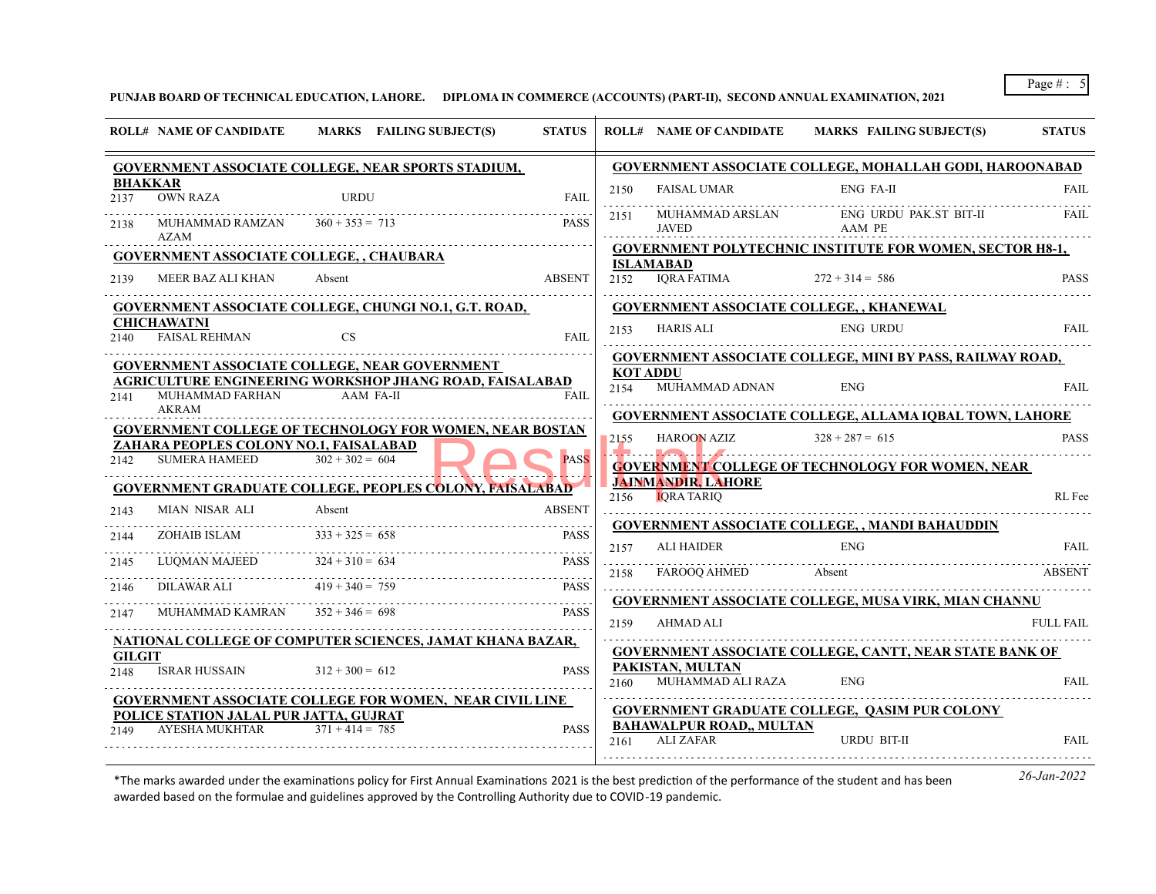**PUNJAB BOARD OF TECHNICAL EDUCATION, LAHORE. DIPLOMA IN COMMERCE (ACCOUNTS) (PART-II), SECOND ANNUAL EXAMINATION, 2021**

|                        | <b>ROLL# NAME OF CANDIDATE</b>                  | MARKS FAILING SUBJECT(S)                                                    | <b>STATUS</b> |                         | <b>ROLL# NAME OF CANDIDATE</b>        | MARKS FAILING SUBJECT(S)                                                                                                                                                                                                                                                                                                                                                                 | <b>STATUS</b>    |
|------------------------|-------------------------------------------------|-----------------------------------------------------------------------------|---------------|-------------------------|---------------------------------------|------------------------------------------------------------------------------------------------------------------------------------------------------------------------------------------------------------------------------------------------------------------------------------------------------------------------------------------------------------------------------------------|------------------|
|                        |                                                 | <b>GOVERNMENT ASSOCIATE COLLEGE, NEAR SPORTS STADIUM,</b>                   |               |                         |                                       | <b>GOVERNMENT ASSOCIATE COLLEGE, MOHALLAH GODI, HAROONABAD</b>                                                                                                                                                                                                                                                                                                                           |                  |
| <b>BHAKKAR</b><br>2137 | <b>OWN RAZA</b>                                 | URDU                                                                        | <b>FAIL</b>   | 2150                    | <b>FAISAL UMAR</b>                    | <b>ENG FA-II</b>                                                                                                                                                                                                                                                                                                                                                                         | FAII.            |
| 2138                   | MUHAMMAD RAMZAN<br>AZAM                         | $360 + 353 = 713$                                                           | <b>PASS</b>   | 2151                    | MUHAMMAD ARSLAN<br>JAVED              | ENG URDU PAK.ST BIT-II<br>AAM PE                                                                                                                                                                                                                                                                                                                                                         | FAIL             |
|                        | <b>GOVERNMENT ASSOCIATE COLLEGE, , CHAUBARA</b> |                                                                             |               |                         |                                       | <b>GOVERNMENT POLYTECHNIC INSTITUTE FOR WOMEN, SECTOR H8-1,</b>                                                                                                                                                                                                                                                                                                                          |                  |
| 2139                   | MEER BAZ ALI KHAN                               | Absent                                                                      | <b>ABSENT</b> | 2152                    | <b>ISLAMABAD</b><br>IORA FATIMA       | $272 + 314 = 586$                                                                                                                                                                                                                                                                                                                                                                        | <b>PASS</b>      |
|                        |                                                 | GOVERNMENT ASSOCIATE COLLEGE, CHUNGI NO.1, G.T. ROAD,                       |               |                         |                                       | <b>GOVERNMENT ASSOCIATE COLLEGE,, KHANEWAL</b>                                                                                                                                                                                                                                                                                                                                           |                  |
| 2140                   | CHICHAWATNI<br><b>FAISAL REHMAN</b>             | <b>CS</b>                                                                   | <b>FAIL</b>   | 2153                    | HARIS ALI                             | <b>ENG URDU</b>                                                                                                                                                                                                                                                                                                                                                                          | FAIL             |
|                        |                                                 | <b>GOVERNMENT ASSOCIATE COLLEGE, NEAR GOVERNMENT</b>                        |               |                         |                                       | <b>GOVERNMENT ASSOCIATE COLLEGE, MINI BY PASS, RAILWAY ROAD,</b>                                                                                                                                                                                                                                                                                                                         |                  |
| 2141                   | MUHAMMAD FARHAN                                 | <b>AGRICULTURE ENGINEERING WORKSHOP JHANG ROAD, FAISALABAD</b><br>AAM FA-II | <b>FAIL</b>   | <b>KOT ADDU</b><br>2154 | MUHAMMAD ADNAN                        | <b>ENG</b>                                                                                                                                                                                                                                                                                                                                                                               | FAIL.            |
|                        | AKRAM                                           |                                                                             |               |                         |                                       | <b>GOVERNMENT ASSOCIATE COLLEGE, ALLAMA IQBAL TOWN, LAHORE</b>                                                                                                                                                                                                                                                                                                                           |                  |
|                        | ZAHARA PEOPLES COLONY NO.1, FAISALABAD          | <b>GOVERNMENT COLLEGE OF TECHNOLOGY FOR WOMEN, NEAR BOSTAN</b>              |               | 2155                    | <b>HAROON AZIZ</b>                    | $328 + 287 = 615$                                                                                                                                                                                                                                                                                                                                                                        | <b>PASS</b>      |
| 2142                   | <b>SUMERA HAMEED</b>                            | $302 + 302 = 604$                                                           | <b>PASS</b>   |                         | <b>JAINMANDIR, LAHORE</b>             | $\begin{bmatrix} 1 & 0 & 0 \\ 0 & 0 & 0 \\ 0 & 0 & 0 \\ 0 & 0 & 0 \\ 0 & 0 & 0 \\ 0 & 0 & 0 & 0 \\ 0 & 0 & 0 & 0 \\ 0 & 0 & 0 & 0 \\ 0 & 0 & 0 & 0 & 0 \\ 0 & 0 & 0 & 0 & 0 \\ 0 & 0 & 0 & 0 & 0 \\ 0 & 0 & 0 & 0 & 0 & 0 \\ 0 & 0 & 0 & 0 & 0 & 0 \\ 0 & 0 & 0 & 0 & 0 & 0 & 0 \\ 0 & 0 & 0 & 0 & 0 & 0 & 0 \\ 0 & 0 & 0 & $<br><b>GOVERNMENT COLLEGE OF TECHNOLOGY FOR WOMEN, NEAR</b> |                  |
|                        |                                                 | <b>GOVERNMENT GRADUATE COLLEGE, PEOPLES COLONY, FAISALABAD</b>              |               |                         | 2156 <b>IORA TARIO</b>                |                                                                                                                                                                                                                                                                                                                                                                                          | RL Fee           |
| 2143                   | MIAN NISAR ALI                                  | Absent                                                                      | <b>ABSENT</b> |                         |                                       |                                                                                                                                                                                                                                                                                                                                                                                          |                  |
| 2144                   | ZOHAIB ISLAM                                    | $333 + 325 = 658$                                                           | <b>PASS</b>   |                         | <b>ALI HAIDER</b>                     | <b>GOVERNMENT ASSOCIATE COLLEGE, , MANDI BAHAUDDIN</b><br><b>ENG</b>                                                                                                                                                                                                                                                                                                                     | FAIL.            |
| 2145                   | LUOMAN MAJEED                                   | $324 + 310 = 634$                                                           | <b>PASS</b>   | 2157<br>.<br>2158       | FAROOO AHMED                          | Absent                                                                                                                                                                                                                                                                                                                                                                                   | <b>ABSENT</b>    |
| 2146                   | DILAWAR ALI $419 + 340 = 759$                   |                                                                             | <b>PASS</b>   |                         |                                       |                                                                                                                                                                                                                                                                                                                                                                                          |                  |
| 2147                   | MUHAMMAD KAMRAN                                 | $352 + 346 = 698$                                                           | <b>PASS</b>   | 2159                    | AHMAD ALI                             | GOVERNMENT ASSOCIATE COLLEGE, MUSA VIRK, MIAN CHANNU                                                                                                                                                                                                                                                                                                                                     | <b>FULL FAIL</b> |
|                        |                                                 | NATIONAL COLLEGE OF COMPUTER SCIENCES, JAMAT KHANA BAZAR,                   |               |                         |                                       | <b>GOVERNMENT ASSOCIATE COLLEGE, CANTT, NEAR STATE BANK OF</b>                                                                                                                                                                                                                                                                                                                           |                  |
| <b>GILGIT</b><br>2148  | <b>ISRAR HUSSAIN</b>                            | $312 + 300 = 612$                                                           | <b>PASS</b>   | 2160                    | PAKISTAN, MULTAN<br>MUHAMMAD ALI RAZA | <b>ENG</b>                                                                                                                                                                                                                                                                                                                                                                               | <b>FAIL</b>      |
|                        |                                                 | <b>GOVERNMENT ASSOCIATE COLLEGE FOR WOMEN, NEAR CIVIL LINE</b>              |               |                         |                                       |                                                                                                                                                                                                                                                                                                                                                                                          |                  |
|                        | POLICE STATION JALAL PUR JATTA, GUJRAT          |                                                                             |               |                         | <b>BAHAWALPUR ROAD,, MULTAN</b>       | <b>GOVERNMENT GRADUATE COLLEGE, QASIM PUR COLONY</b>                                                                                                                                                                                                                                                                                                                                     |                  |
| 2149                   | AYESHA MUKHTAR                                  | $371 + 414 = 785$                                                           | <b>PASS</b>   | 2161                    | ALI ZAFAR                             | URDU BIT-II                                                                                                                                                                                                                                                                                                                                                                              | <b>FAIL</b>      |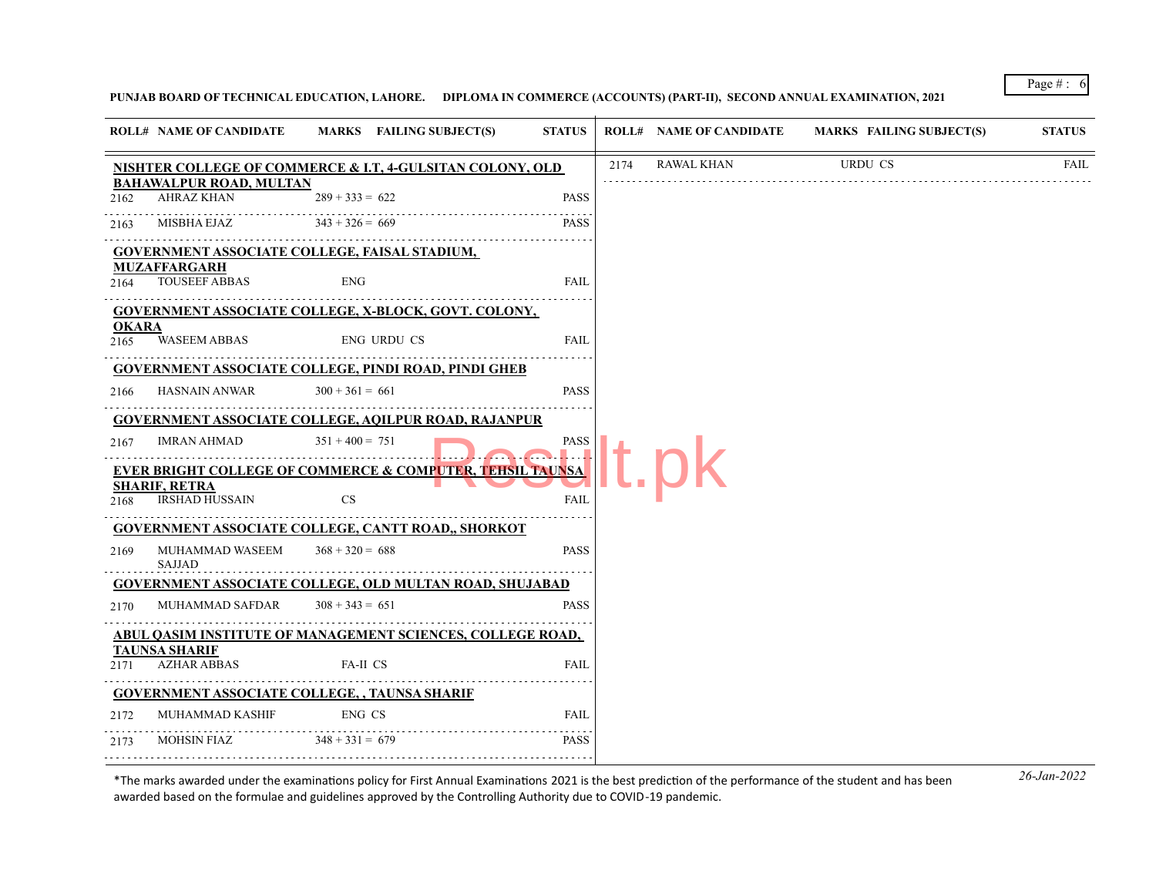# **PUNJAB BOARD OF TECHNICAL EDUCATION, LAHORE. DIPLOMA IN COMMERCE (ACCOUNTS) (PART-II), SECOND ANNUAL EXAMINATION, 2021**

|                      | <b>ROLL# NAME OF CANDIDATE</b>               | MARKS FAILING SUBJECT(S)                                             | <b>STATUS</b> |      | <b>ROLL# NAME OF CANDIDATE</b> | <b>MARKS FAILING SUBJECT(S)</b> | <b>STATUS</b> |
|----------------------|----------------------------------------------|----------------------------------------------------------------------|---------------|------|--------------------------------|---------------------------------|---------------|
|                      |                                              | <b>NISHTER COLLEGE OF COMMERCE &amp; I.T, 4-GULSITAN COLONY, OLD</b> |               | 2174 | RAWAL KHAN                     | URDU CS                         | FAIL          |
| 2162                 | <b>BAHAWALPUR ROAD, MULTAN</b><br>AHRAZ KHAN | $289 + 333 = 622$                                                    | <b>PASS</b>   |      |                                |                                 |               |
| 2163                 | MISBHA EJAZ $343 + 326 = 669$                |                                                                      | <b>PASS</b>   |      |                                |                                 |               |
|                      |                                              | GOVERNMENT ASSOCIATE COLLEGE, FAISAL STADIUM,                        |               |      |                                |                                 |               |
| 2164                 | <b>MUZAFFARGARH</b><br><b>TOUSEEF ABBAS</b>  | <b>ENG</b>                                                           | <b>FAIL</b>   |      |                                |                                 |               |
|                      |                                              | GOVERNMENT ASSOCIATE COLLEGE, X-BLOCK, GOVT. COLONY,                 |               |      |                                |                                 |               |
| <b>OKARA</b><br>2165 | <b>WASEEM ABBAS</b>                          | <b>ENG URDU CS</b>                                                   | FAIL          |      |                                |                                 |               |
|                      |                                              | <b>GOVERNMENT ASSOCIATE COLLEGE, PINDI ROAD, PINDI GHEB</b>          |               |      |                                |                                 |               |
| 2166                 | <b>HASNAIN ANWAR</b>                         | $300 + 361 = 661$                                                    | <b>PASS</b>   |      |                                |                                 |               |
|                      |                                              | <b>GOVERNMENT ASSOCIATE COLLEGE, AQILPUR ROAD, RAJANPUR</b>          |               |      |                                |                                 |               |
| 2167                 | <b>IMRAN AHMAD</b>                           | $351 + 400 = 751$                                                    | PASS          |      |                                |                                 |               |
|                      |                                              | <b>EVER BRIGHT COLLEGE OF COMMERCE &amp; COMPUTER, TEHSIL TAUNSA</b> |               |      |                                |                                 |               |
|                      | <b>SHARIF, RETRA</b><br>2168 IRSHAD HUSSAIN  | CS                                                                   | FAIL          |      |                                |                                 |               |
|                      |                                              | <b>GOVERNMENT ASSOCIATE COLLEGE, CANTT ROAD,, SHORKOT</b>            |               |      |                                |                                 |               |
| 2169                 | MUHAMMAD WASEEM<br>SAJJAD                    | $368 + 320 = 688$                                                    | <b>PASS</b>   |      |                                |                                 |               |
|                      |                                              | <b>GOVERNMENT ASSOCIATE COLLEGE, OLD MULTAN ROAD, SHUJABAD</b>       |               |      |                                |                                 |               |
| 2170                 | MUHAMMAD SAFDAR                              | $308 + 343 = 651$                                                    | <b>PASS</b>   |      |                                |                                 |               |
|                      |                                              | ABUL QASIM INSTITUTE OF MANAGEMENT SCIENCES, COLLEGE ROAD,           |               |      |                                |                                 |               |
| 2171                 | <b>TAUNSA SHARIF</b><br><b>AZHAR ABBAS</b>   | FA-II CS                                                             | <b>FAIL</b>   |      |                                |                                 |               |
|                      |                                              | <b>GOVERNMENT ASSOCIATE COLLEGE, , TAUNSA SHARIF</b>                 |               |      |                                |                                 |               |
| 2172                 | MUHAMMAD KASHIF                              | ENG CS                                                               | FAIL          |      |                                |                                 |               |
| 2173                 | MOHSIN FIAZ                                  | $348 + 331 = 679$                                                    | <b>PASS</b>   |      |                                |                                 |               |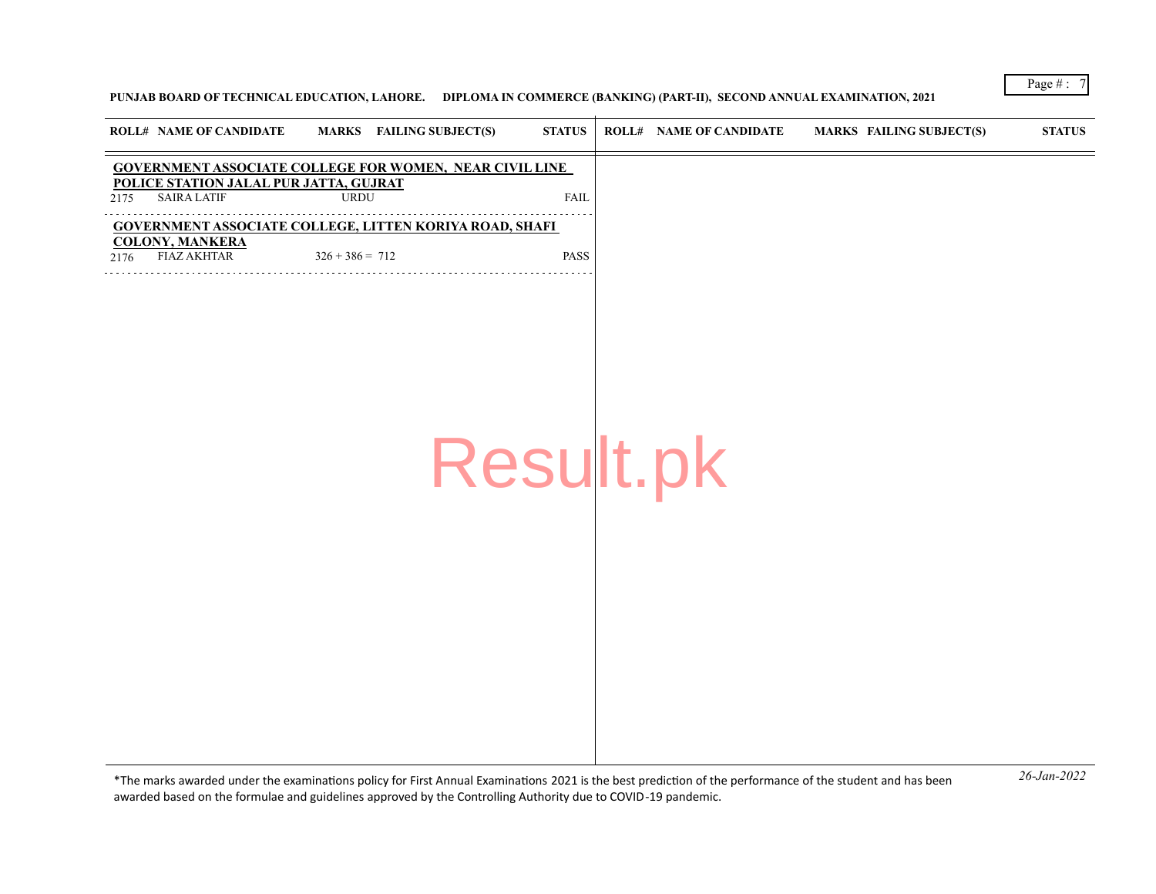## **PUNJAB BOARD OF TECHNICAL EDUCATION, LAHORE. DIPLOMA IN COMMERCE (BANKING) (PART-II), SECOND ANNUAL EXAMINATION, 2021**

|      | <b>ROLL# NAME OF CANDIDATE</b>                               | <b>MARKS</b> FAILING SUBJECT(S)                                | <b>STATUS</b> | <b>ROLL# NAME OF CANDIDATE</b> | <b>MARKS FAILING SUBJECT(S)</b> | <b>STATUS</b> |
|------|--------------------------------------------------------------|----------------------------------------------------------------|---------------|--------------------------------|---------------------------------|---------------|
|      |                                                              | <b>GOVERNMENT ASSOCIATE COLLEGE FOR WOMEN, NEAR CIVIL LINE</b> |               |                                |                                 |               |
| 2175 | POLICE STATION JALAL PUR JATTA, GUJRAT<br><b>SAIRA LATIF</b> | <b>URDU</b>                                                    | <b>FAIL</b>   |                                |                                 |               |
|      |                                                              | GOVERNMENT ASSOCIATE COLLEGE, LITTEN KORIYA ROAD, SHAFI        |               |                                |                                 |               |
| 2176 | <b>COLONY, MANKERA</b><br><b>FIAZ AKHTAR</b>                 | $326 + 386 = 712$                                              | PASS          |                                |                                 |               |
|      |                                                              |                                                                |               |                                |                                 |               |
|      |                                                              |                                                                |               |                                |                                 |               |
|      |                                                              |                                                                |               |                                |                                 |               |
|      |                                                              |                                                                |               |                                |                                 |               |
|      |                                                              |                                                                |               |                                |                                 |               |
|      |                                                              |                                                                |               |                                |                                 |               |
|      |                                                              |                                                                | Result.pk     |                                |                                 |               |
|      |                                                              |                                                                |               |                                |                                 |               |
|      |                                                              |                                                                |               |                                |                                 |               |
|      |                                                              |                                                                |               |                                |                                 |               |
|      |                                                              |                                                                |               |                                |                                 |               |
|      |                                                              |                                                                |               |                                |                                 |               |
|      |                                                              |                                                                |               |                                |                                 |               |
|      |                                                              |                                                                |               |                                |                                 |               |
|      |                                                              |                                                                |               |                                |                                 |               |
|      |                                                              |                                                                |               |                                |                                 |               |
|      |                                                              |                                                                |               |                                |                                 |               |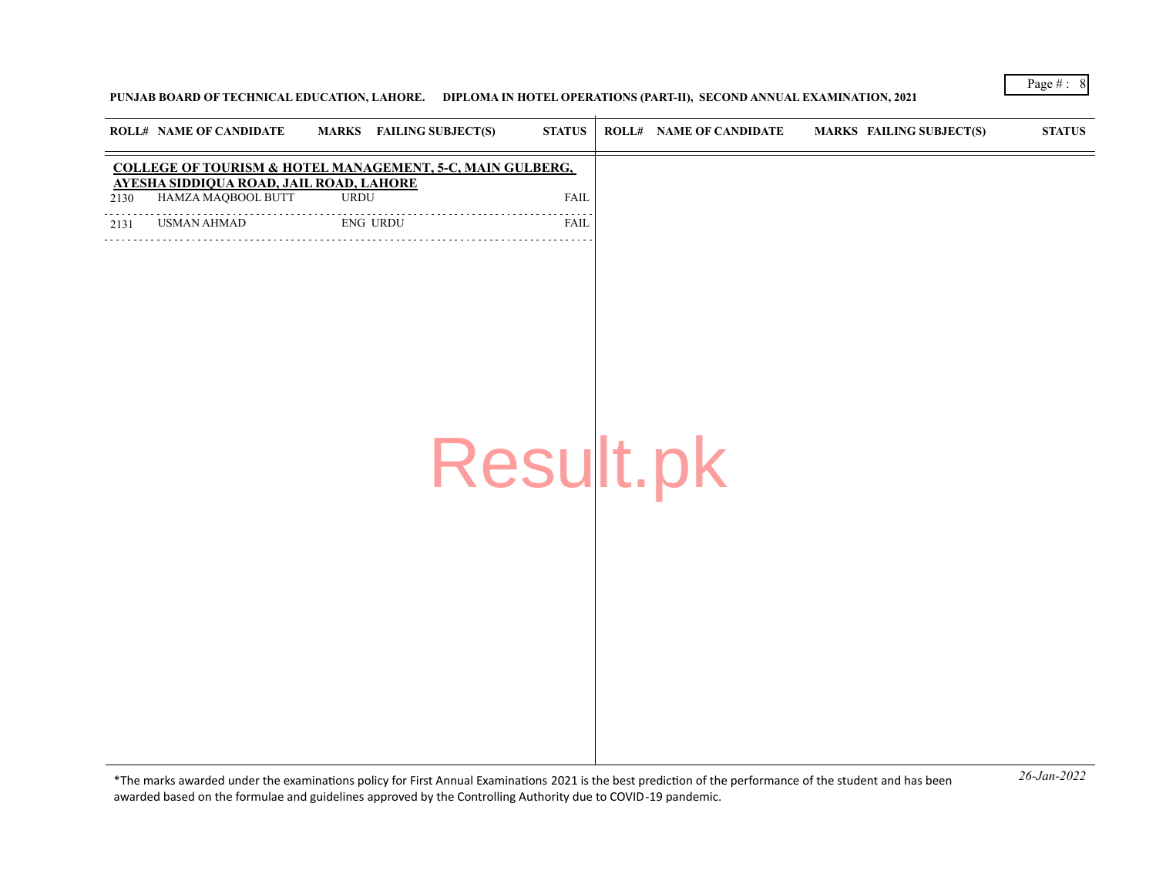### **PUNJAB BOARD OF TECHNICAL EDUCATION, LAHORE. DIPLOMA IN HOTEL OPERATIONS (PART-II), SECOND ANNUAL EXAMINATION, 2021**

|      | <b>ROLL# NAME OF CANDIDATE</b>                                | <b>MARKS</b> FAILING SUBJECT(S)                           | <b>STATUS</b> | <b>ROLL# NAME OF CANDIDATE</b> | MARKS FAILING SUBJECT(S) | $\bold{STATUS}$ |
|------|---------------------------------------------------------------|-----------------------------------------------------------|---------------|--------------------------------|--------------------------|-----------------|
|      |                                                               | COLLEGE OF TOURISM & HOTEL MANAGEMENT, 5-C, MAIN GULBERG, |               |                                |                          |                 |
| 2130 | AYESHA SIDDIQUA ROAD, JAIL ROAD, LAHORE<br>HAMZA MAQBOOL BUTT | <b>URDU</b>                                               | <b>FAIL</b>   |                                |                          |                 |
| 2131 | USMAN AHMAD                                                   | .<br><b>ENG URDU</b><br>.                                 | FAIL          |                                |                          |                 |
|      |                                                               |                                                           |               |                                |                          |                 |
|      |                                                               |                                                           |               |                                |                          |                 |
|      |                                                               |                                                           |               |                                |                          |                 |
|      |                                                               |                                                           |               |                                |                          |                 |
|      |                                                               |                                                           |               |                                |                          |                 |
|      |                                                               |                                                           |               |                                |                          |                 |
|      |                                                               |                                                           |               |                                |                          |                 |
|      |                                                               |                                                           | Result.pk     |                                |                          |                 |
|      |                                                               |                                                           |               |                                |                          |                 |
|      |                                                               |                                                           |               |                                |                          |                 |
|      |                                                               |                                                           |               |                                |                          |                 |
|      |                                                               |                                                           |               |                                |                          |                 |
|      |                                                               |                                                           |               |                                |                          |                 |
|      |                                                               |                                                           |               |                                |                          |                 |
|      |                                                               |                                                           |               |                                |                          |                 |
|      |                                                               |                                                           |               |                                |                          |                 |
|      |                                                               |                                                           |               |                                |                          |                 |
|      |                                                               |                                                           |               |                                |                          |                 |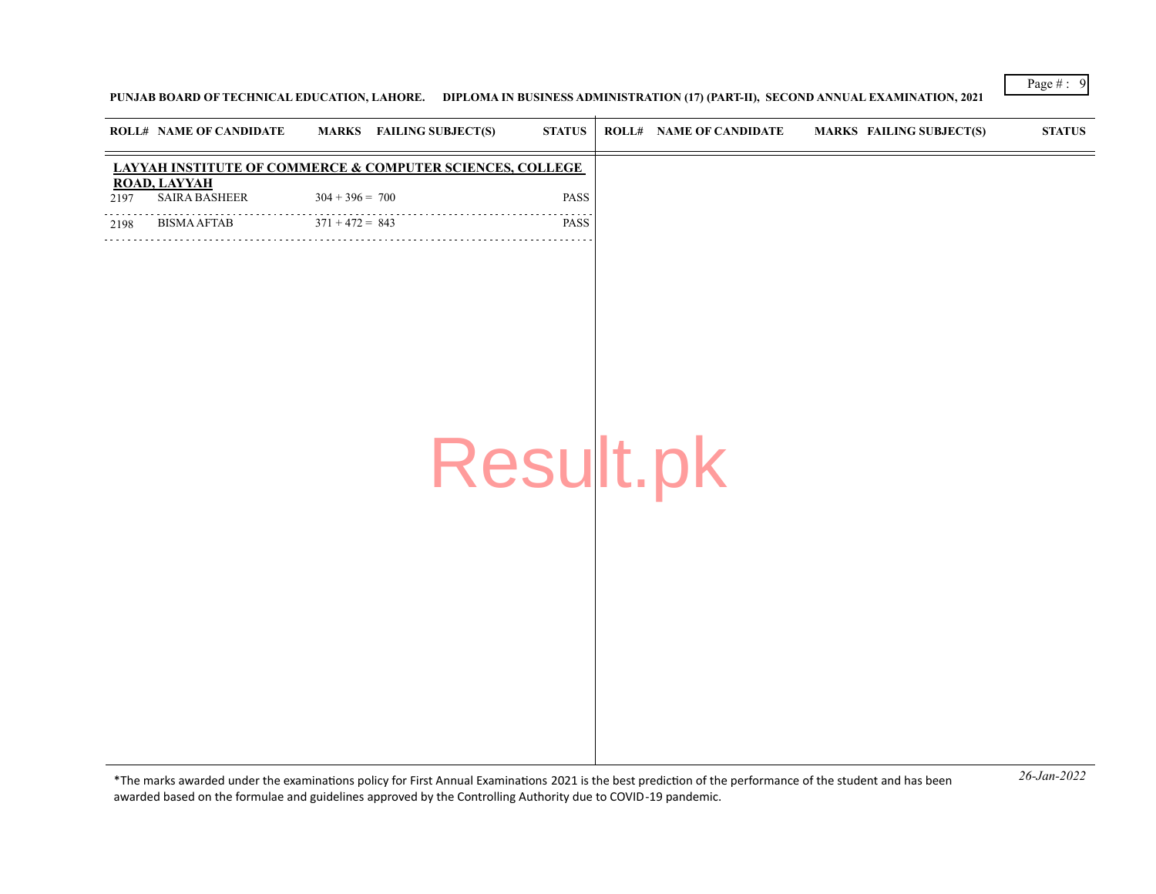**PUNJAB BOARD OF TECHNICAL EDUCATION, LAHORE. DIPLOMA IN BUSINESS ADMINISTRATION (17) (PART-II), SECOND ANNUAL EXAMINATION, 2021**

|      | <b>ROLL# NAME OF CANDIDATE</b>              | <b>MARKS</b> FAILING SUBJECT(S)                           | <b>STATUS</b> | <b>ROLL# NAME OF CANDIDATE</b> | <b>MARKS FAILING SUBJECT(S)</b> | <b>STATUS</b> |
|------|---------------------------------------------|-----------------------------------------------------------|---------------|--------------------------------|---------------------------------|---------------|
|      |                                             | LAYYAH INSTITUTE OF COMMERCE & COMPUTER SCIENCES, COLLEGE |               |                                |                                 |               |
| 2197 | <b>ROAD, LAYYAH</b><br><b>SAIRA BASHEER</b> | $304 + 396 = 700$                                         | PASS          |                                |                                 |               |
| 2198 | <b>BISMA AFTAB</b><br>.                     | $371 + 472 = 843$                                         | PASS          |                                |                                 |               |
|      |                                             |                                                           |               |                                |                                 |               |
|      |                                             |                                                           |               |                                |                                 |               |
|      |                                             |                                                           |               |                                |                                 |               |
|      |                                             |                                                           |               |                                |                                 |               |
|      |                                             |                                                           |               |                                |                                 |               |
|      |                                             |                                                           |               |                                |                                 |               |
|      |                                             |                                                           |               |                                |                                 |               |
|      |                                             |                                                           | Result.pk     |                                |                                 |               |
|      |                                             |                                                           |               |                                |                                 |               |
|      |                                             |                                                           |               |                                |                                 |               |
|      |                                             |                                                           |               |                                |                                 |               |
|      |                                             |                                                           |               |                                |                                 |               |
|      |                                             |                                                           |               |                                |                                 |               |
|      |                                             |                                                           |               |                                |                                 |               |
|      |                                             |                                                           |               |                                |                                 |               |
|      |                                             |                                                           |               |                                |                                 |               |
|      |                                             |                                                           |               |                                |                                 |               |
|      |                                             |                                                           |               |                                |                                 |               |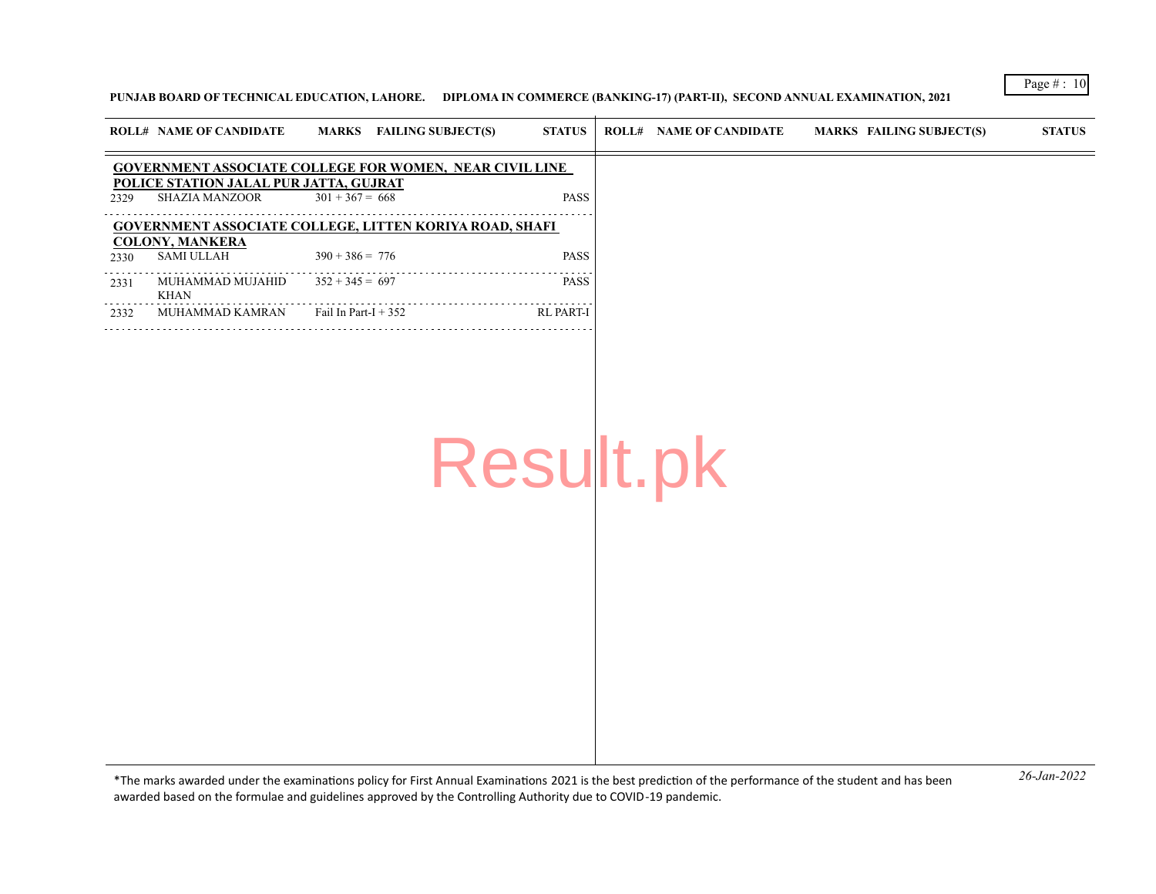#### **PUNJAB BOARD OF TECHNICAL EDUCATION, LAHORE. DIPLOMA IN COMMERCE (BANKING-17) (PART-II), SECOND ANNUAL EXAMINATION, 2021**

|      | <b>ROLL# NAME OF CANDIDATE</b>                           | MARKS FAILING SUBJECT(S)                                       | <b>STATUS</b> | <b>ROLL# NAME OF CANDIDATE</b> | MARKS FAILING SUBJECT(S) | <b>STATUS</b> |
|------|----------------------------------------------------------|----------------------------------------------------------------|---------------|--------------------------------|--------------------------|---------------|
|      |                                                          | <b>GOVERNMENT ASSOCIATE COLLEGE FOR WOMEN, NEAR CIVIL LINE</b> |               |                                |                          |               |
| 2329 | POLICE STATION JALAL PUR JATTA, GUJRAT<br>SHAZIA MANZOOR | $301 + 367 = 668$                                              | <b>PASS</b>   |                                |                          |               |
|      | <b>COLONY, MANKERA</b>                                   | <b>GOVERNMENT ASSOCIATE COLLEGE, LITTEN KORIYA ROAD, SHAFI</b> |               |                                |                          |               |
| 2330 | SAMI ULLAH                                               | $390 + 386 = 776$                                              | <b>PASS</b>   |                                |                          |               |
| 2331 | MUHAMMAD MUJAHID<br>KHAN                                 | $352 + 345 = 697$                                              | <b>PASS</b>   |                                |                          |               |
| 2332 | MUHAMMAD KAMRAN                                          | Fail In Part-I $+352$                                          | RL PART-I     |                                |                          |               |

Result.pk

*26-Jan-2022* \*The marks awarded under the examinatons policy for First Annual Examinatons 2021 is the best predicton of the performance of the student and has been awarded based on the formulae and guidelines approved by the Controlling Authority due to COVID-19 pandemic.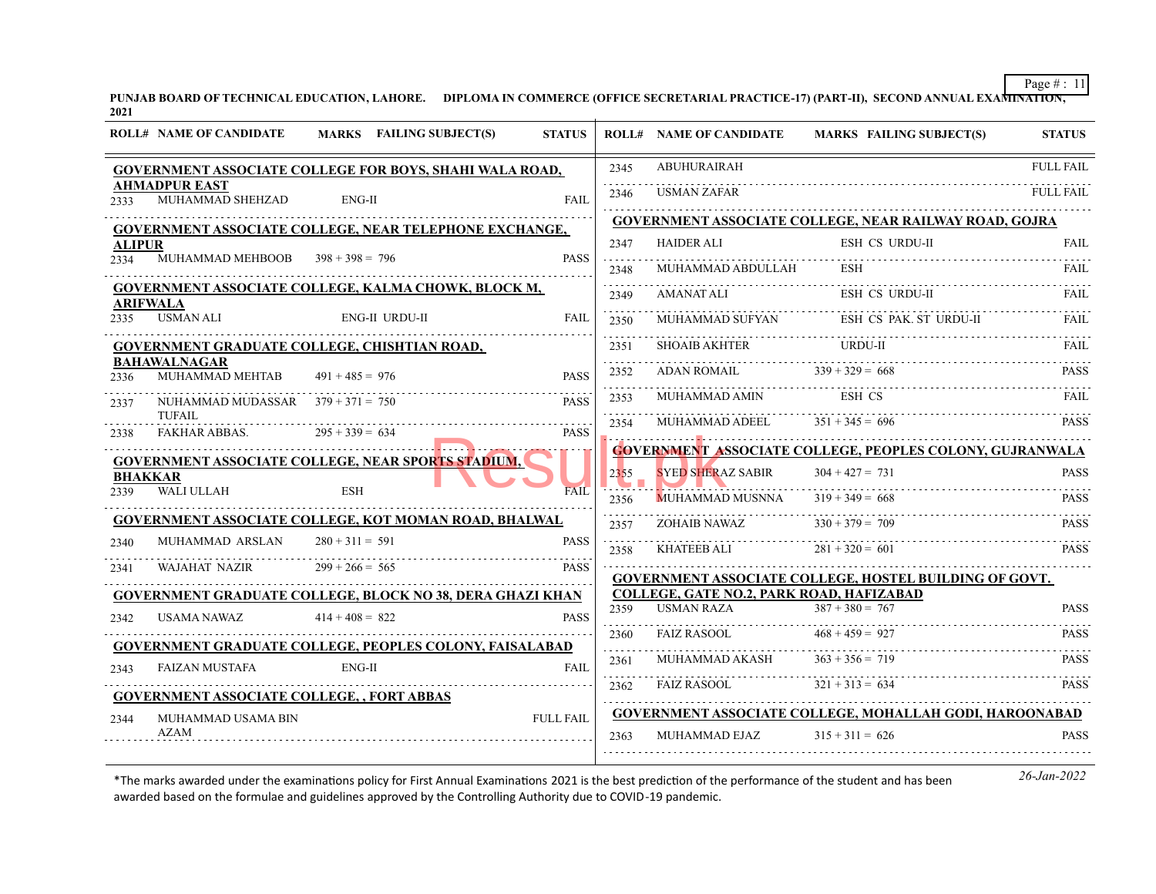**PUNJAB BOARD OF TECHNICAL EDUCATION, LAHORE. DIPLOMA IN COMMERCE (OFFICE SECRETARIAL PRACTICE-17) (PART-II), SECOND ANNUAL EXAMINATION, 2021**

|               | <b>ROLL# NAME OF CANDIDATE</b>                    | MARKS FAILING SUBJECT(S)                                         | <b>STATUS</b>    |           | <b>ROLL# NAME OF CANDIDATE</b>                                | <b>MARKS FAILING SUBJECT(S)</b>                                 | <b>STATUS</b>         |
|---------------|---------------------------------------------------|------------------------------------------------------------------|------------------|-----------|---------------------------------------------------------------|-----------------------------------------------------------------|-----------------------|
|               |                                                   | <b>GOVERNMENT ASSOCIATE COLLEGE FOR BOYS, SHAHI WALA ROAD,</b>   |                  | 2345      | <b>ABUHURAIRAH</b>                                            |                                                                 | <b>FULL FAIL</b>      |
| 2333          | <b>AHMADPUR EAST</b><br>MUHAMMAD SHEHZAD          | $ENG-II$                                                         | <b>FAIL</b>      | .<br>2346 | USMAN ZAFAR                                                   |                                                                 | .<br><b>FULL FAIL</b> |
|               |                                                   | <b>GOVERNMENT ASSOCIATE COLLEGE, NEAR TELEPHONE EXCHANGE,</b>    |                  |           |                                                               | GOVERNMENT ASSOCIATE COLLEGE, NEAR RAILWAY ROAD, GOJRA          |                       |
| <b>ALIPUR</b> |                                                   |                                                                  |                  | 2347      | <b>HAIDER ALI</b>                                             | <b>ESH CS URDU-II</b>                                           | FAIL                  |
| 2334          | MUHAMMAD MEHBOOB $398 + 398 = 796$                |                                                                  | <b>PASS</b>      | 2348      | MUHAMMAD ABDULLAH                                             |                                                                 |                       |
|               | ARIFWALA                                          | <b>GOVERNMENT ASSOCIATE COLLEGE, KALMA CHOWK, BLOCK M,</b>       |                  | 2349      | AMANAT ALI                                                    | ESH CS URDU-II                                                  | FAIL.                 |
| 2335          | <b>USMAN ALI</b>                                  | <b>ENG-II URDU-II</b>                                            | <b>FAIL</b>      | 2350      | MUHAMMAD SUFYAN                                               | ESH CS PAK. ST URDU-II                                          |                       |
|               |                                                   | GOVERNMENT GRADUATE COLLEGE, CHISHTIAN ROAD,                     |                  | .<br>2351 | <b>SHOAIB AKHTER</b>                                          | URDU-II                                                         | FAIL.                 |
| 2336          | <b>BAHAWALNAGAR</b><br>MUHAMMAD MEHTAB            | $491 + 485 = 976$                                                | <b>PASS</b>      | 2352      | ADAN ROMAIL                                                   | $339 + 329 = 668$                                               | <b>PASS</b>           |
| 2337          | NUHAMMAD MUDASSAR $379 + 371 = 750$               |                                                                  | <b>PASS</b>      | .<br>2353 | MUHAMMAD AMIN                                                 | ESH CS                                                          | FAIL.                 |
| 2338          | TUFAIL<br>FAKHAR ABBAS.                           | $295 + 339 = 634$                                                | <b>PASS</b>      | 2354      | MUHAMMAD ADEEL                                                | $351 + 345 = 696$                                               | <b>PASS</b>           |
|               |                                                   | GOVERNMENT ASSOCIATE COLLEGE, NEAR SPORTS STADIUM,               |                  |           |                                                               | <b>GOVERNMENT ASSOCIATE COLLEGE, PEOPLES COLONY, GUJRANWALA</b> |                       |
|               | <b>BHAKKAR</b>                                    |                                                                  |                  | 2355      | <b>SYED SHERAZ SABIR</b>                                      | $304 + 427 = 731$                                               | <b>PASS</b>           |
| 2339          | WALI ULLAH                                        | <b>ESH</b>                                                       | <b>FAIL</b>      | 2356      | <u> La Barbara (Barbara) et al.</u><br><b>MUHAMMAD MUSNNA</b> | $319 + 349 = 668$                                               | PASS.                 |
|               |                                                   | <b>GOVERNMENT ASSOCIATE COLLEGE, KOT MOMAN ROAD, BHALWAL</b>     |                  | 2357      | ZOHAIB NAWAZ                                                  | $330 + 379 = 709$                                               | PASS.                 |
| 2340          | MUHAMMAD ARSLAN                                   | $280 + 311 = 591$                                                | <b>PASS</b>      | 2358      | KHATEEB ALI                                                   | $281 + 320 = 601$                                               | <b>PASS</b>           |
| 2341          | WAJAHAT NAZIR                                     | $299 + 266 = 565$                                                | <b>PASS</b>      |           |                                                               | GOVERNMENT ASSOCIATE COLLEGE, HOSTEL BUILDING OF GOVT.          |                       |
|               |                                                   | <b>GOVERNMENT GRADUATE COLLEGE, BLOCK NO 38, DERA GHAZI KHAN</b> |                  |           | <b>COLLEGE, GATE NO.2, PARK ROAD, HAFIZABAD</b>               |                                                                 |                       |
| 2342          | USAMA NAWAZ                                       | $414 + 408 = 822$                                                | <b>PASS</b>      | 2359      | <b>USMAN RAZA</b>                                             | $387 + 380 = 767$                                               | <b>PASS</b>           |
|               |                                                   | <b>GOVERNMENT GRADUATE COLLEGE, PEOPLES COLONY, FAISALABAD</b>   |                  | 2360      | <b>FAIZ RASOOL</b>                                            | $468 + 459 = 927$                                               | <b>PASS</b>           |
| 2343          | <b>FAIZAN MUSTAFA</b>                             | $ENG-II$                                                         | <b>FAIL</b>      | 2361      | MUHAMMAD AKASH                                                | $363 + 356 = 719$                                               | <b>PASS</b>           |
|               | <b>GOVERNMENT ASSOCIATE COLLEGE, , FORT ABBAS</b> |                                                                  |                  | 2362      | <b>FAIZ RASOOL</b>                                            | $321 + 313 = 634$                                               | <b>PASS</b>           |
| 2344          | MUHAMMAD USAMA BIN                                |                                                                  | <b>FULL FAIL</b> |           |                                                               | <b>GOVERNMENT ASSOCIATE COLLEGE, MOHALLAH GODI, HAROONABAD</b>  |                       |
|               | AZAM                                              |                                                                  |                  | 2363      | MUHAMMAD EJAZ                                                 | $315 + 311 = 626$                                               | <b>PASS</b>           |
|               |                                                   |                                                                  |                  |           |                                                               |                                                                 |                       |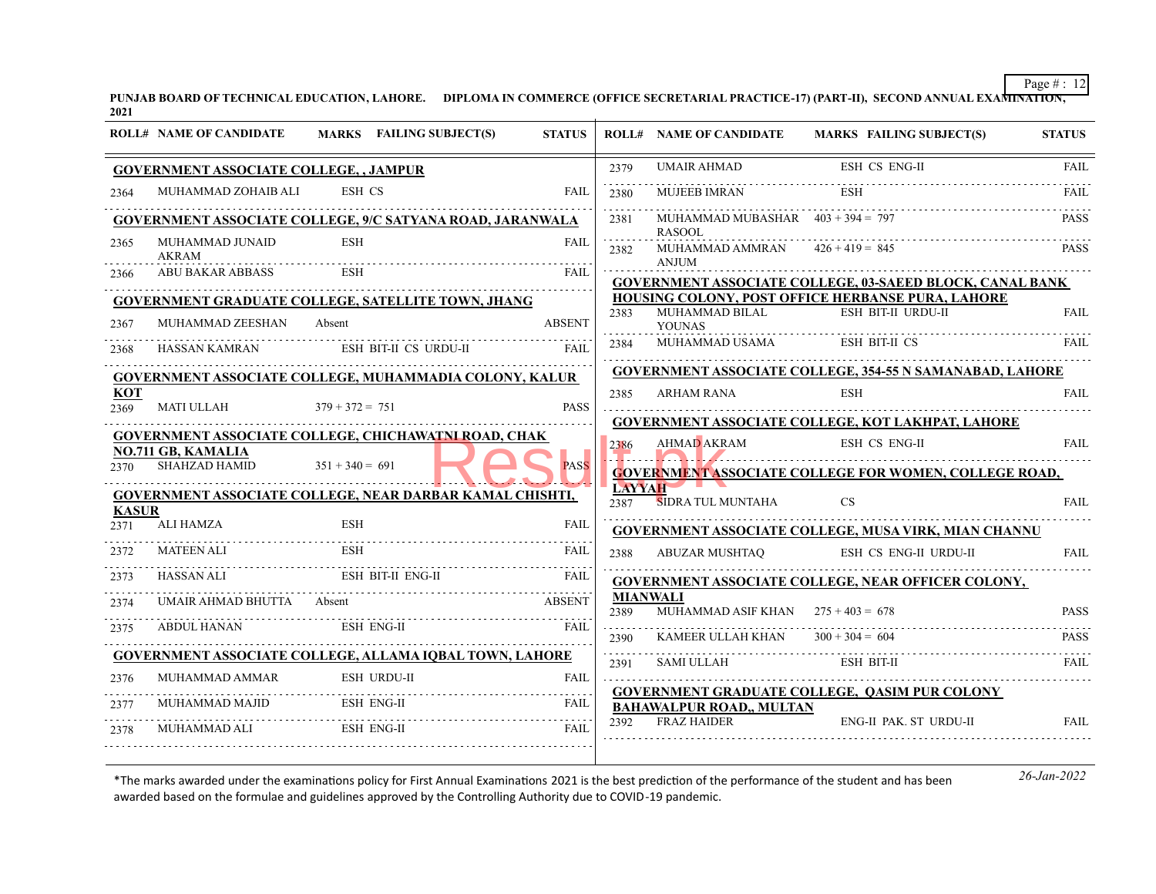**PUNJAB BOARD OF TECHNICAL EDUCATION, LAHORE. DIPLOMA IN COMMERCE (OFFICE SECRETARIAL PRACTICE-17) (PART-II), SECOND ANNUAL EXAMINATION, 2021**

|              | <b>ROLL# NAME OF CANDIDATE</b>                                                           |                   | <b>MARKS</b> FAILING SUBJECT(S) | <b>STATUS</b> |           | <b>ROLL# NAME OF CANDIDATE</b>                          | <b>MARKS FAILING SUBJECT(S)</b>                                                                                         | <b>STATUS</b> |
|--------------|------------------------------------------------------------------------------------------|-------------------|---------------------------------|---------------|-----------|---------------------------------------------------------|-------------------------------------------------------------------------------------------------------------------------|---------------|
|              | <b>GOVERNMENT ASSOCIATE COLLEGE, , JAMPUR</b>                                            |                   |                                 |               | 2379      | <b>UMAIR AHMAD</b>                                      | ESH CS ENG-II                                                                                                           | <b>FAIL</b>   |
| 2364         | MUHAMMAD ZOHAIB ALI                                                                      | ESH CS            |                                 | <b>FAIL</b>   | 2380      | <b>MUJEEB IMRAN</b>                                     | ESH                                                                                                                     | FAIL          |
|              | <b>GOVERNMENT ASSOCIATE COLLEGE, 9/C SATYANA ROAD, JARANWALA</b>                         |                   |                                 |               | 2381      | MUHAMMAD MUBASHAR $403 + 394 = 797$                     |                                                                                                                         | PASS.         |
| 2365         | MUHAMMAD JUNAID<br>AKRAM                                                                 | <b>ESH</b>        |                                 | <b>FAIL</b>   | 2382      | <b>RASOOL</b><br>MUHAMMAD AMMRAN                        | $426 + 419 = 845$                                                                                                       | <b>PASS</b>   |
| 2366         | ABU BAKAR ABBASS                                                                         | ESH               |                                 | <b>FAIL</b>   |           | <b>ANJUM</b>                                            | <b>GOVERNMENT ASSOCIATE COLLEGE, 03-SAEED BLOCK, CANAL BANK</b>                                                         |               |
|              | GOVERNMENT GRADUATE COLLEGE, SATELLITE TOWN, JHANG                                       |                   |                                 |               |           |                                                         | <b>HOUSING COLONY, POST OFFICE HERBANSE PURA, LAHORE</b>                                                                |               |
| 2367         | MUHAMMAD ZEESHAN                                                                         | Absent            |                                 | <b>ABSENT</b> | 2383      | MUHAMMAD BILAL<br><b>YOUNAS</b>                         | ESH BIT-II URDU-II                                                                                                      | <b>FAIL</b>   |
| 2368         | HASSAN KAMRAN                                                                            |                   | ESH BIT-II CS URDU-II           | FAIL          | 2384      | MUHAMMAD USAMA                                          | <b>ESH BIT-II CS</b>                                                                                                    | FAIL          |
|              | GOVERNMENT ASSOCIATE COLLEGE, MUHAMMADIA COLONY, KALUR                                   |                   |                                 |               |           |                                                         | <b>GOVERNMENT ASSOCIATE COLLEGE, 354-55 N SAMANABAD, LAHORE</b>                                                         |               |
| KOT<br>2369  | MATI ULLAH                                                                               | $379 + 372 = 751$ |                                 | <b>PASS</b>   | 2385      | ARHAM RANA                                              | <b>ESH</b>                                                                                                              | <b>FAIL</b>   |
|              |                                                                                          |                   |                                 |               |           |                                                         | <b>GOVERNMENT ASSOCIATE COLLEGE, KOT LAKHPAT, LAHORE</b>                                                                |               |
|              | <b>GOVERNMENT ASSOCIATE COLLEGE, CHICHAWATNI ROAD, CHAK</b><br><b>NO.711 GB, KAMALIA</b> |                   |                                 |               | 2386      | AHMAD AKRAM                                             | <b>ESH CS ENG-II</b>                                                                                                    | <b>FAIL</b>   |
| 2370         | SHAHZAD HAMID                                                                            | $351 + 340 = 691$ |                                 | <b>PASS</b>   |           |                                                         | <u>N.I. Zamoromom monomum monomum monomum monomum m</u><br><b>GOVERNMENT ASSOCIATE COLLEGE FOR WOMEN, COLLEGE ROAD,</b> |               |
| <b>KASUR</b> | <b>GOVERNMENT ASSOCIATE COLLEGE, NEAR DARBAR KAMAL CHISHTI,</b>                          |                   |                                 |               | 2387      | LAYYAH N<br>SIDRA TUL MUNTAHA                           | <b>CS</b>                                                                                                               | FAII.         |
| 2371         | ALI HAMZA                                                                                | ESH               |                                 | <b>FAIL</b>   |           |                                                         | <b>GOVERNMENT ASSOCIATE COLLEGE, MUSA VIRK, MIAN CHANNU</b>                                                             |               |
| 2372         | MATEEN ALI                                                                               | ESH               |                                 | <b>FAIL</b>   | 2388      | ABUZAR MUSHTAO                                          | ESH CS ENG-II URDU-II                                                                                                   | <b>FAIL</b>   |
| 2373         | HASSAN ALI                                                                               |                   | ESH BIT-II ENG-II               | FAIL          |           |                                                         | <b>GOVERNMENT ASSOCIATE COLLEGE, NEAR OFFICER COLONY,</b>                                                               |               |
| 2374         | UMAIR AHMAD BHUTTA Absent                                                                |                   |                                 | ABSENT        | 2389      | <b>MIANWALI</b><br>MUHAMMAD ASIF KHAN $275 + 403 = 678$ |                                                                                                                         | <b>PASS</b>   |
| 2375         | ABDUL HANAN                                                                              |                   | ESH ENG-II                      | <b>FAIL</b>   | 2390      | KAMEER ULLAH KHAN                                       | $300 + 304 = 604$                                                                                                       | PASS.         |
|              | <b>GOVERNMENT ASSOCIATE COLLEGE, ALLAMA IOBAL TOWN, LAHORE</b>                           |                   |                                 |               | .<br>2391 | SAMI ULLAH                                              | ESH BIT-II                                                                                                              | FAIL          |
| 2376         | MUHAMMAD AMMAR                                                                           |                   | <b>ESH URDU-II</b>              | <b>FAIL</b>   |           |                                                         |                                                                                                                         |               |
| 2377         | MUHAMMAD MAJID                                                                           |                   | <b>ESH ENG-II</b>               | FAIL          |           | <b>BAHAWALPUR ROAD,, MULTAN</b>                         | <b>GOVERNMENT GRADUATE COLLEGE, OASIM PUR COLONY</b>                                                                    |               |
| 2378         | MUHAMMAD ALI                                                                             |                   | <b>ESH ENG-II</b>               | FAIL          | 2392      | <b>FRAZ HAIDER</b>                                      | ENG-II PAK. ST URDU-II                                                                                                  | <b>FAIL</b>   |
|              |                                                                                          |                   |                                 |               |           |                                                         |                                                                                                                         |               |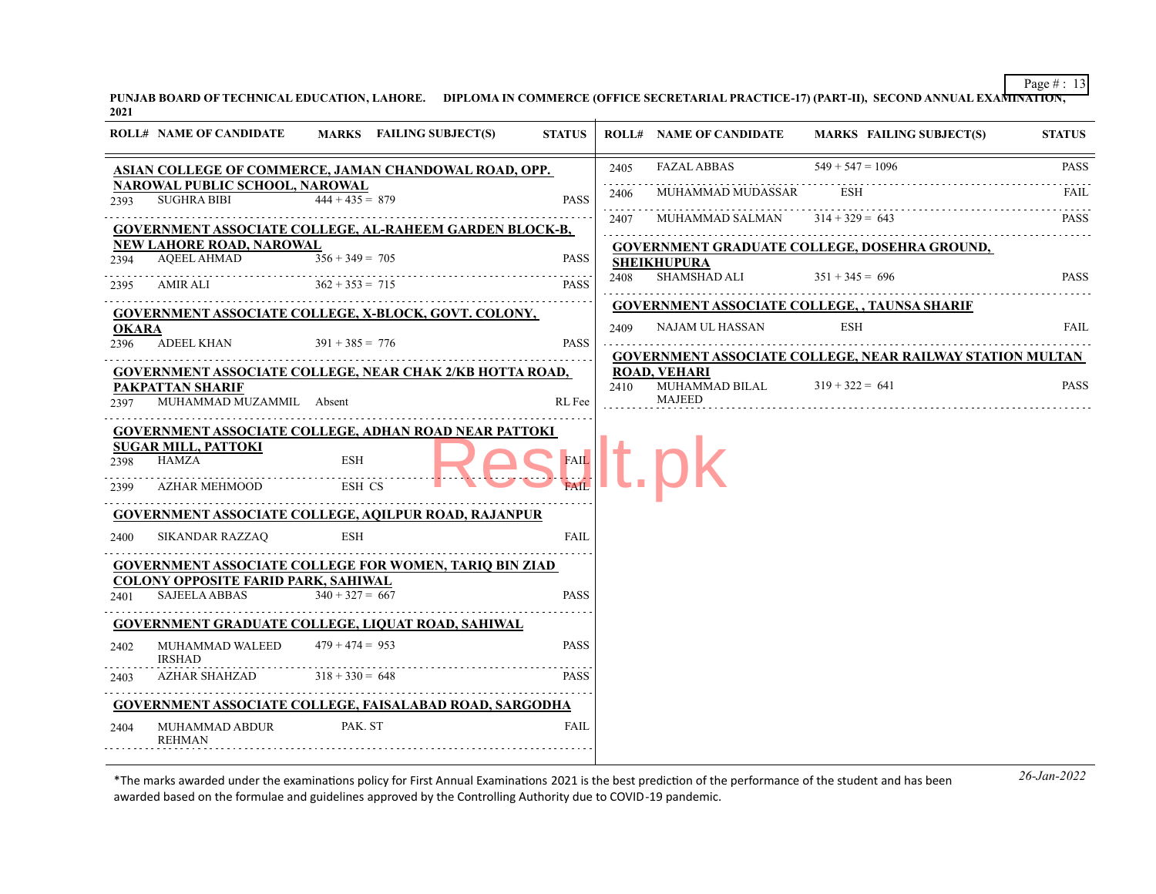**PUNJAB BOARD OF TECHNICAL EDUCATION, LAHORE. DIPLOMA IN COMMERCE (OFFICE SECRETARIAL PRACTICE-17) (PART-II), SECOND ANNUAL EXAMINATION, 2021**

|              | <b>ROLL# NAME OF CANDIDATE</b>                              | MARKS FAILING SUBJECT(S)                                        | <b>STATUS</b> |           | <b>ROLL# NAME OF CANDIDATE</b> | <b>MARKS FAILING SUBJECT(S)</b>                                  | <b>STATUS</b> |
|--------------|-------------------------------------------------------------|-----------------------------------------------------------------|---------------|-----------|--------------------------------|------------------------------------------------------------------|---------------|
|              |                                                             | ASIAN COLLEGE OF COMMERCE, JAMAN CHANDOWAL ROAD, OPP.           |               | 2405      | <b>FAZAL ABBAS</b>             | $549 + 547 = 1096$                                               | <b>PASS</b>   |
| 2393         | <b>NAROWAL PUBLIC SCHOOL, NAROWAL</b><br><b>SUGHRA BIBI</b> | $444 + 435 = 879$                                               | <b>PASS</b>   | .<br>2406 | MUHAMMAD MUDASSAR              | <b>ESH</b>                                                       | FAIL          |
|              |                                                             | <b>GOVERNMENT ASSOCIATE COLLEGE, AL-RAHEEM GARDEN BLOCK-B,</b>  |               | .<br>2407 | MUHAMMAD SALMAN                | $314 + 329 = 643$                                                | <b>PASS</b>   |
|              | <b>NEW LAHORE ROAD, NAROWAL</b>                             |                                                                 |               |           |                                | GOVERNMENT GRADUATE COLLEGE, DOSEHRA GROUND,                     |               |
| 2394         | <b>AQEEL AHMAD</b>                                          | $356 + 349 = 705$                                               | <b>PASS</b>   |           | <b>SHEIKHUPURA</b>             |                                                                  |               |
| 2395         | AMIR ALI                                                    | $362 + 353 = 715$                                               | <b>PASS</b>   | 2408      | SHAMSHAD ALI                   | $351 + 345 = 696$                                                | <b>PASS</b>   |
|              |                                                             | GOVERNMENT ASSOCIATE COLLEGE, X-BLOCK, GOVT. COLONY,            |               |           |                                | <b>GOVERNMENT ASSOCIATE COLLEGE, , TAUNSA SHARIF</b>             |               |
| <b>OKARA</b> |                                                             |                                                                 |               | 2409      | NAJAM UL HASSAN                | ESH                                                              | FAIL          |
| 2396         | <b>ADEEL KHAN</b>                                           | $391 + 385 = 776$                                               | <b>PASS</b>   |           |                                | <b>GOVERNMENT ASSOCIATE COLLEGE, NEAR RAILWAY STATION MULTAN</b> |               |
|              |                                                             | <b>GOVERNMENT ASSOCIATE COLLEGE, NEAR CHAK 2/KB HOTTA ROAD,</b> |               |           | <b>ROAD, VEHARI</b>            |                                                                  |               |
|              | PAKPATTAN SHARIF                                            |                                                                 |               | 2410      | MUHAMMAD BILAL                 | $319 + 322 = 641$                                                | <b>PASS</b>   |
| 2397         | MUHAMMAD MUZAMMIL Absent                                    |                                                                 | <b>RL</b> Fee |           | <b>MAJEED</b>                  |                                                                  |               |
|              |                                                             | <b>GOVERNMENT ASSOCIATE COLLEGE, ADHAN ROAD NEAR PATTOKI</b>    |               |           |                                |                                                                  |               |
|              | <b>SUGAR MILL, PATTOKI</b>                                  |                                                                 |               |           |                                |                                                                  |               |
| 2398         | <b>HAMZA</b>                                                | <b>ESH</b>                                                      | <b>FAIL</b>   |           |                                |                                                                  |               |
| 2399         | AZHAR MEHMOOD                                               | ESH CS                                                          |               |           |                                |                                                                  |               |
|              |                                                             | <b>GOVERNMENT ASSOCIATE COLLEGE, AQILPUR ROAD, RAJANPUR</b>     |               |           |                                |                                                                  |               |
| 2400         | <b>SIKANDAR RAZZAO</b>                                      | ESH                                                             | <b>FAIL</b>   |           |                                |                                                                  |               |
|              |                                                             | <b>GOVERNMENT ASSOCIATE COLLEGE FOR WOMEN, TARIO BIN ZIAD</b>   |               |           |                                |                                                                  |               |
|              | <b>COLONY OPPOSITE FARID PARK, SAHIWAL</b>                  |                                                                 |               |           |                                |                                                                  |               |
| 2401         | <b>SAJEELA ABBAS</b>                                        | $340 + 327 = 667$                                               | <b>PASS</b>   |           |                                |                                                                  |               |
|              |                                                             | <b>GOVERNMENT GRADUATE COLLEGE, LIQUAT ROAD, SAHIWAL</b>        |               |           |                                |                                                                  |               |
| 2402         | MUHAMMAD WALEED<br><b>IRSHAD</b>                            | $479 + 474 = 953$                                               | <b>PASS</b>   |           |                                |                                                                  |               |
| 2403         | <b>AZHAR SHAHZAD</b>                                        | $318 + 330 = 648$                                               | <b>PASS</b>   |           |                                |                                                                  |               |
|              |                                                             | <b>GOVERNMENT ASSOCIATE COLLEGE, FAISALABAD ROAD, SARGODHA</b>  |               |           |                                |                                                                  |               |
| 2404         | MUHAMMAD ABDUR<br><b>REHMAN</b>                             | PAK. ST                                                         | <b>FAIL</b>   |           |                                |                                                                  |               |
|              |                                                             |                                                                 |               |           |                                |                                                                  |               |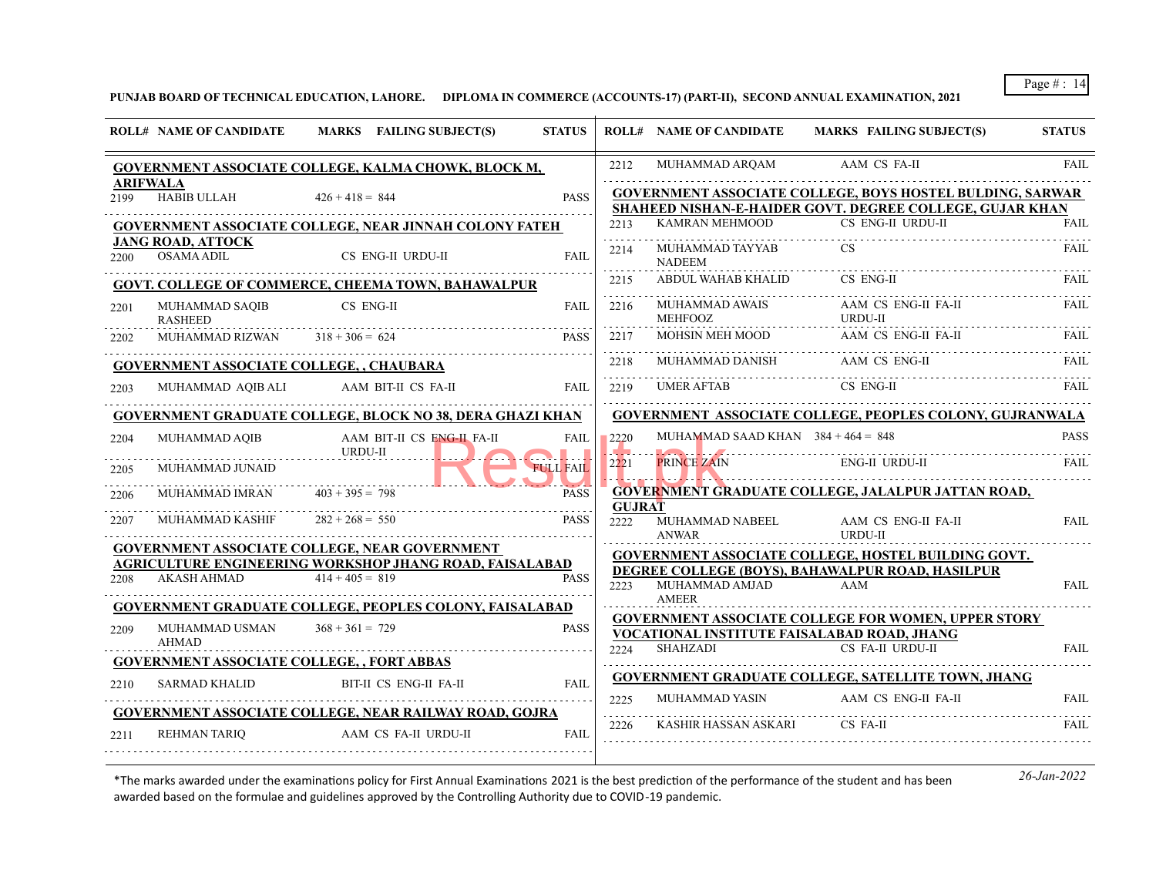**PUNJAB BOARD OF TECHNICAL EDUCATION, LAHORE. DIPLOMA IN COMMERCE (ACCOUNTS-17) (PART-II), SECOND ANNUAL EXAMINATION, 2021**

|      | <b>ROLL# NAME OF CANDIDATE</b>                   | MARKS FAILING SUBJECT(S)                                                     | <b>STATUS</b>    |                  | <b>ROLL# NAME OF CANDIDATE</b>          | <b>MARKS FAILING SUBJECT(S)</b>                                                                                                     | <b>STATUS</b> |
|------|--------------------------------------------------|------------------------------------------------------------------------------|------------------|------------------|-----------------------------------------|-------------------------------------------------------------------------------------------------------------------------------------|---------------|
|      |                                                  | GOVERNMENT ASSOCIATE COLLEGE, KALMA CHOWK, BLOCK M,                          |                  | 2212             | MUHAMMAD ARQAM                          | AAM CS FA-II                                                                                                                        | <b>FAIL</b>   |
| 2199 | <b>ARIFWALA</b><br><b>HABIB ULLAH</b>            | $426 + 418 = 844$                                                            | <b>PASS</b>      |                  |                                         | <b>GOVERNMENT ASSOCIATE COLLEGE, BOYS HOSTEL BULDING, SARWAR</b><br><b>SHAHEED NISHAN-E-HAIDER GOVT. DEGREE COLLEGE, GUJAR KHAN</b> |               |
|      |                                                  | GOVERNMENT ASSOCIATE COLLEGE, NEAR JINNAH COLONY FATEH                       |                  | 2213             | KAMRAN MEHMOOD                          | CS ENG-II URDU-II                                                                                                                   | FAIL          |
| 2200 | <b>JANG ROAD, ATTOCK</b><br><b>OSAMA ADIL</b>    | CS ENG-II URDU-II                                                            | FAIL             | 2214             | MUHAMMAD TAYYAB<br><b>NADEEM</b>        |                                                                                                                                     | FAIL.         |
|      |                                                  | GOVT. COLLEGE OF COMMERCE, CHEEMA TOWN, BAHAWALPUR                           |                  | 2215             | ABDUL WAHAB KHALID                      | CS ENG-II                                                                                                                           | FAIL.         |
| 2201 | MUHAMMAD SAQIB<br><b>RASHEED</b>                 | CS ENG-II                                                                    | <b>FAIL</b>      | 2216             | <b>MUHAMMAD AWAIS</b><br><b>MEHFOOZ</b> | AAM CS ENG-II FA-II<br><b>URDU-II</b>                                                                                               | FAIL          |
| 2202 | MUHAMMAD RIZWAN                                  | $318 + 306 = 624$                                                            | <b>PASS</b>      | 2217             | MOHSIN MEH MOOD                         | AAM CS ENG-II FA-II                                                                                                                 | FAIL.         |
|      | <b>GOVERNMENT ASSOCIATE COLLEGE, , CHAUBARA</b>  |                                                                              |                  | 2218             | MUHAMMAD DANISH                         | AAM CS ENG-II                                                                                                                       | FAIL          |
| 2203 | MUHAMMAD AQIB ALI                                | AAM BIT-II CS FA-II                                                          | FAIL             | 2219             | <b>UMER AFTAB</b>                       | CS ENG-II                                                                                                                           | FAIL.         |
|      |                                                  | GOVERNMENT GRADUATE COLLEGE, BLOCK NO 38, DERA GHAZI KHAN                    |                  |                  |                                         | <b>GOVERNMENT ASSOCIATE COLLEGE, PEOPLES COLONY, GUJRANWALA</b>                                                                     |               |
| 2204 | MUHAMMAD AQIB                                    | AAM BIT-II CS ENG-IL FA-II<br>URDU-II                                        | <b>FAIL</b>      | 2220<br>المتحافظ | MUHAMMAD SAAD KHAN $384 + 464 = 848$    |                                                                                                                                     | <b>PASS</b>   |
| 2205 | MUHAMMAD JUNAID                                  |                                                                              | <b>FULL FAIL</b> | 2221             | <b>PRINCE ZAIN</b>                      | <b>ENG-II URDU-II</b>                                                                                                               |               |
| 2206 | MUHAMMAD IMRAN                                   | $403 + 395 = 798$                                                            | <b>PASS</b>      | <b>GUJRAT</b>    |                                         | GOVERNMENT GRADUATE COLLEGE, JALALPUR JATTAN ROAD,                                                                                  |               |
| 2207 | MUHAMMAD KASHIF                                  | $282 + 268 = 550$                                                            | <b>PASS</b>      | 2222             | MUHAMMAD NABEEL<br><b>ANWAR</b>         | AAM CS ENG-II FA-II<br>URDU-II                                                                                                      | FAII.         |
|      |                                                  | <b>GOVERNMENT ASSOCIATE COLLEGE, NEAR GOVERNMENT</b>                         |                  |                  |                                         | <b>GOVERNMENT ASSOCIATE COLLEGE, HOSTEL BUILDING GOVT.</b>                                                                          |               |
| 2208 | AKASH AHMAD                                      | AGRICULTURE ENGINEERING WORKSHOP JHANG ROAD, FAISALABAD<br>$414 + 405 = 819$ | <b>PASS</b>      | 2223             | MUHAMMAD AMJAD                          | DEGREE COLLEGE (BOYS), BAHAWALPUR ROAD, HASILPUR<br>AAM                                                                             | <b>FAIL</b>   |
|      |                                                  | <b>GOVERNMENT GRADUATE COLLEGE, PEOPLES COLONY, FAISALABAD</b>               |                  |                  | <b>AMEER</b>                            |                                                                                                                                     |               |
| 2209 | MUHAMMAD USMAN<br><b>AHMAD</b>                   | $368 + 361 = 729$                                                            | <b>PASS</b>      |                  |                                         | <b>GOVERNMENT ASSOCIATE COLLEGE FOR WOMEN, UPPER STORY</b><br>VOCATIONAL INSTITUTE FAISALABAD ROAD, JHANG                           |               |
|      | <b>GOVERNMENT ASSOCIATE COLLEGE,, FORT ABBAS</b> |                                                                              |                  | 2224             | SHAHZADI                                | CS FA-II URDU-II                                                                                                                    | <b>FAIL</b>   |
| 2210 | <b>SARMAD KHALID</b>                             | BIT-II CS ENG-II FA-II                                                       | <b>FAIL</b>      |                  |                                         | GOVERNMENT GRADUATE COLLEGE, SATELLITE TOWN, JHANG                                                                                  |               |
|      |                                                  | GOVERNMENT ASSOCIATE COLLEGE, NEAR RAILWAY ROAD, GOJRA                       |                  | 2225<br>.        | MUHAMMAD YASIN                          | AAM CS ENG-II FA-II                                                                                                                 | <b>FAIL</b>   |
| 2211 | <b>REHMAN TARIO</b>                              | AAM CS FA-II URDU-II                                                         | <b>FAIL</b>      | 2226             | KASHIR HASSAN ASKARI                    | CS FA-II                                                                                                                            | FAIL          |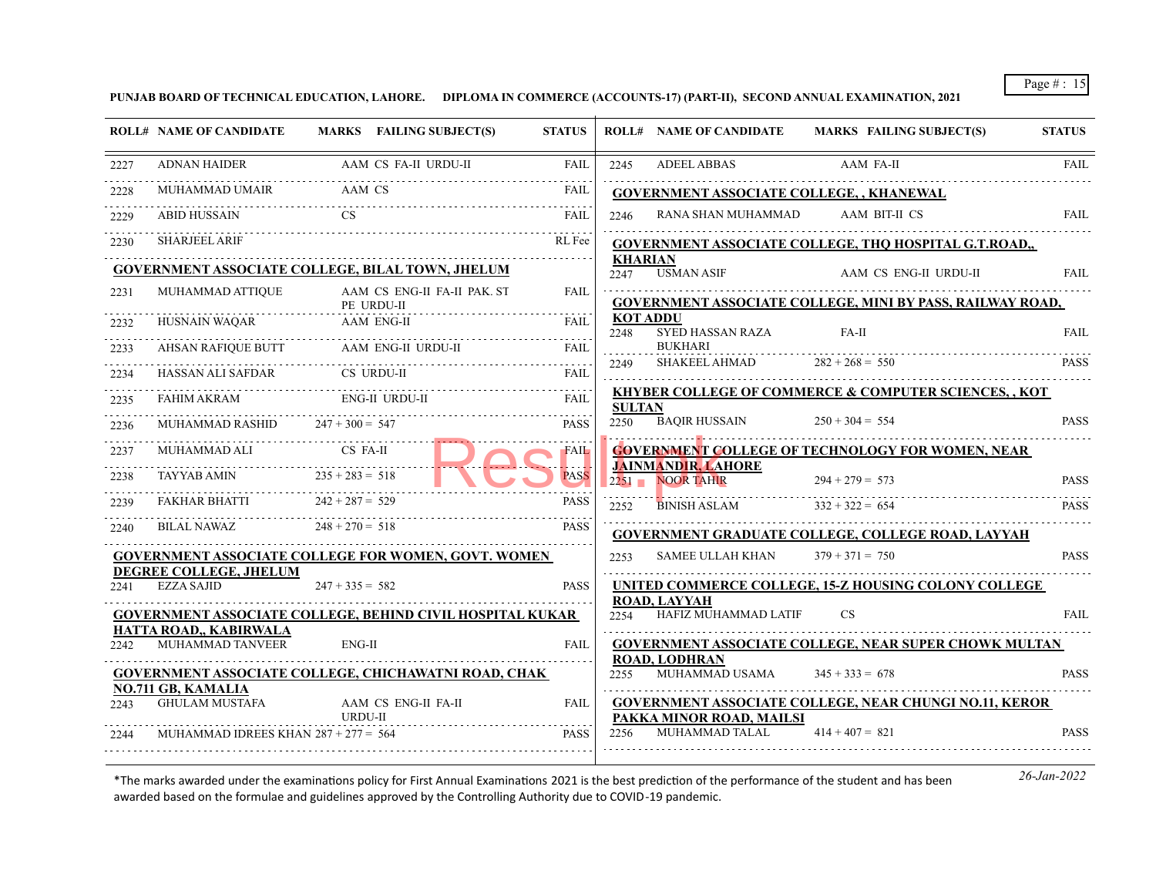**PUNJAB BOARD OF TECHNICAL EDUCATION, LAHORE. DIPLOMA IN COMMERCE (ACCOUNTS-17) (PART-II), SECOND ANNUAL EXAMINATION, 2021**

|      | <b>ROLL# NAME OF CANDIDATE</b>                    | MARKS FAILING SUBJECT(S)                                         | <b>STATUS</b> |                        | <b>ROLL# NAME OF CANDIDATE</b>                 | <b>MARKS FAILING SUBJECT(S)</b>                                  | <b>STATUS</b> |
|------|---------------------------------------------------|------------------------------------------------------------------|---------------|------------------------|------------------------------------------------|------------------------------------------------------------------|---------------|
| 2227 | ADNAN HAIDER                                      | AAM CS FA-II URDU-II                                             | <b>FAIL</b>   | 2245                   | <b>ADEEL ABBAS</b>                             | AAM FA-II                                                        | <b>FAIL</b>   |
| 2228 | MUHAMMAD UMAIR                                    | AAM CS                                                           | FAIL          |                        | <b>GOVERNMENT ASSOCIATE COLLEGE,, KHANEWAL</b> |                                                                  |               |
| 2229 | <b>ABID HUSSAIN</b>                               | CS                                                               | <b>FAIL</b>   | 2246                   | RANA SHAN MUHAMMAD                             | AAM BIT-II CS                                                    | <b>FAIL</b>   |
| 2230 | <b>SHARJEEL ARIF</b>                              |                                                                  | RL Fee        |                        |                                                | GOVERNMENT ASSOCIATE COLLEGE, THQ HOSPITAL G.T.ROAD,,            |               |
|      |                                                   | <b>GOVERNMENT ASSOCIATE COLLEGE, BILAL TOWN, JHELUM</b>          |               | <b>KHARIAN</b><br>2247 | <b>USMAN ASIF</b>                              | AAM CS ENG-II URDU-II                                            | <b>FAIL</b>   |
| 2231 | MUHAMMAD ATTIQUE                                  | AAM CS ENG-II FA-II PAK. ST<br>PE URDU-II                        | FAII.         |                        |                                                | <b>GOVERNMENT ASSOCIATE COLLEGE, MINI BY PASS, RAILWAY ROAD,</b> |               |
| 2232 | HUSNAIN WAQAR                                     | <b>AAM ENG-II</b>                                                | <b>FAIL</b>   | KOT ADDU<br>2248       | SYED HASSAN RAZA                               | $FA-II$                                                          | <b>FAIL</b>   |
| 2233 | AHSAN RAFIOUE BUTT                                | AAM ENG-II URDU-II                                               | <b>FAIL</b>   |                        | <b>BUKHARI</b>                                 |                                                                  |               |
| 2234 | HASSAN ALI SAFDAR                                 | CS URDU-II                                                       | FAIL          | 2249                   | SHAKEEL AHMAD                                  | $282 + 268 = 550$                                                | <b>PASS</b>   |
| 2235 | FAHIM AKRAM                                       | ENG-II URDU-II                                                   | <b>FAIL</b>   | <b>SULTAN</b>          |                                                | <b>KHYBER COLLEGE OF COMMERCE &amp; COMPUTER SCIENCES,, KOT</b>  |               |
| 2236 | MUHAMMAD RASHID                                   | $247 + 300 = 547$                                                | <b>PASS</b>   | 2250                   | <b>BAQIR HUSSAIN</b>                           | $250 + 304 = 554$                                                | <b>PASS</b>   |
| 2237 | MUHAMMAD ALI                                      | CS FA-II                                                         | <b>FAIL</b>   |                        |                                                | <b>GOVERNMENT COLLEGE OF TECHNOLOGY FOR WOMEN, NEAR</b>          |               |
| 2238 | <b>TAYYAB AMIN</b>                                | $235 + 283 = 518$                                                | <b>PASS</b>   | $2251 -$               | <b>JAINMANDIR, LAHORE</b><br><b>NOOR TAHIR</b> | $294 + 279 = 573$                                                | <b>PASS</b>   |
| 2239 | FAKHAR BHATTI                                     | $242 + 287 = 529$                                                | <b>PASS</b>   | 2252                   | <b>BINISH ASLAM</b>                            | $332 + 322 = 654$                                                | <b>PASS</b>   |
| 2240 | BILAL NAWAZ                                       | $248 + 270 = 518$                                                | <b>PASS</b>   |                        |                                                | <b>GOVERNMENT GRADUATE COLLEGE, COLLEGE ROAD, LAYYAH</b>         |               |
|      |                                                   | <b>GOVERNMENT ASSOCIATE COLLEGE FOR WOMEN, GOVT. WOMEN</b>       |               | 2253                   | <b>SAMEE ULLAH KHAN</b>                        | $379 + 371 = 750$                                                | <b>PASS</b>   |
| 2241 | DEGREE COLLEGE, JHELUM<br><b>EZZA SAJID</b>       | $247 + 335 = 582$                                                | <b>PASS</b>   |                        | <b>ROAD, LAYYAH</b>                            | UNITED COMMERCE COLLEGE, 15-Z HOUSING COLONY COLLEGE             |               |
|      |                                                   | <b>GOVERNMENT ASSOCIATE COLLEGE, BEHIND CIVIL HOSPITAL KUKAR</b> |               | 2254                   | HAFIZ MUHAMMAD LATIF                           | <b>CS</b>                                                        | <b>FAIL</b>   |
| 2242 | HATTA ROAD., KABIRWALA<br><b>MUHAMMAD TANVEER</b> | ENG-II                                                           | <b>FAIL</b>   |                        |                                                | <b>GOVERNMENT ASSOCIATE COLLEGE, NEAR SUPER CHOWK MULTAN</b>     |               |
|      | NO.711 GB, KAMALIA                                | <b>GOVERNMENT ASSOCIATE COLLEGE, CHICHAWATNI ROAD, CHAK</b>      |               | 2255                   | <b>ROAD, LODHRAN</b><br>MUHAMMAD USAMA         | $345 + 333 = 678$                                                | <b>PASS</b>   |
| 2243 | <b>GHULAM MUSTAFA</b>                             | AAM CS ENG-II FA-II<br>URDU-II                                   | <b>FAIL</b>   |                        | PAKKA MINOR ROAD, MAILSI                       | <b>GOVERNMENT ASSOCIATE COLLEGE, NEAR CHUNGI NO.11, KEROR</b>    |               |
| 2244 | MUHAMMAD IDREES KHAN $287 + 277 = 564$            |                                                                  | <b>PASS</b>   | 2256                   | MUHAMMAD TALAL                                 | $414 + 407 = 821$                                                | <b>PASS</b>   |
|      |                                                   |                                                                  |               |                        |                                                |                                                                  |               |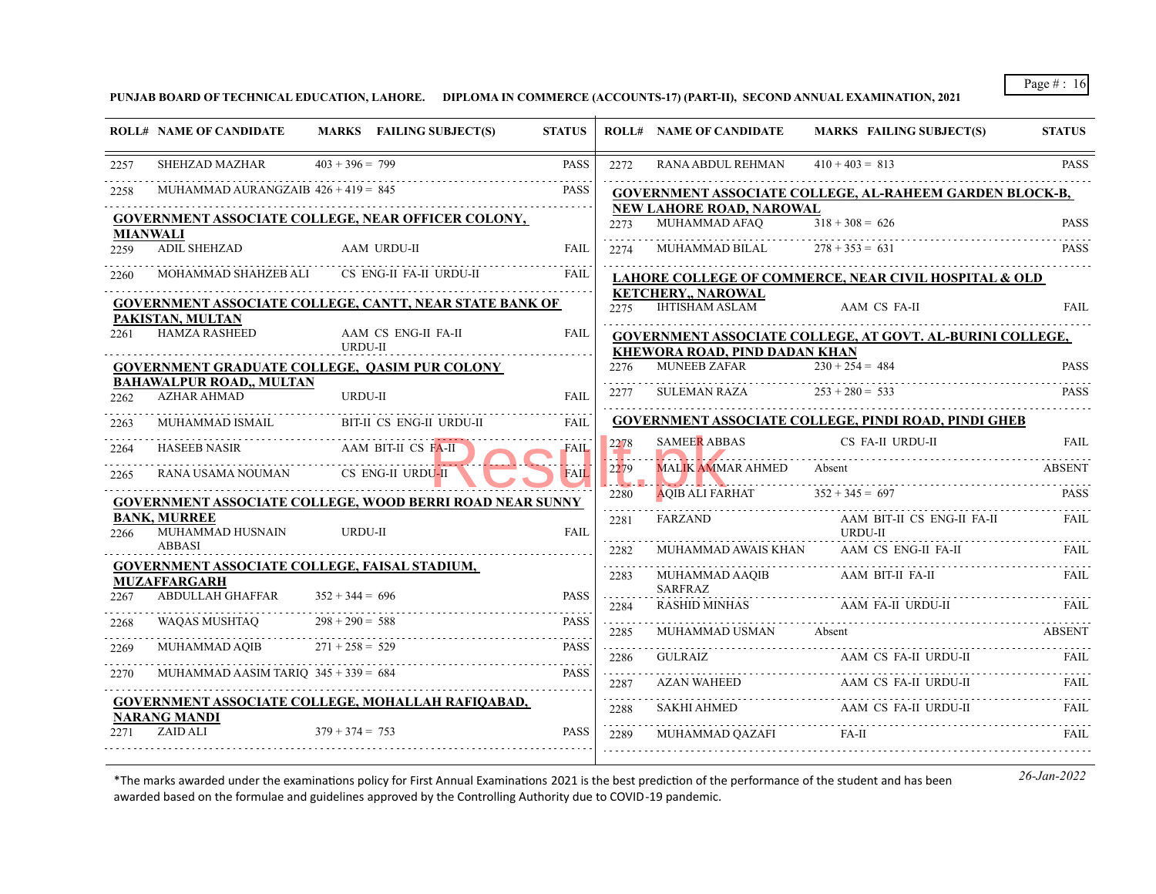**PUNJAB BOARD OF TECHNICAL EDUCATION, LAHORE. DIPLOMA IN COMMERCE (ACCOUNTS-17) (PART-II), SECOND ANNUAL EXAMINATION, 2021**

|                         | <b>ROLL# NAME OF CANDIDATE</b>           | MARKS FAILING SUBJECT(S)                                        | <b>STATUS</b> |           | <b>ROLL# NAME OF CANDIDATE</b>                       | <b>MARKS FAILING SUBJECT(S)</b>                                                                                                 | <b>STATUS</b> |
|-------------------------|------------------------------------------|-----------------------------------------------------------------|---------------|-----------|------------------------------------------------------|---------------------------------------------------------------------------------------------------------------------------------|---------------|
| 2257                    | SHEHZAD MAZHAR                           | $403 + 396 = 799$                                               | <b>PASS</b>   | 2272      | RANA ABDUL REHMAN                                    | $410 + 403 = 813$                                                                                                               | <b>PASS</b>   |
| 2258                    | MUHAMMAD AURANGZAIB $426 + 419 = 845$    |                                                                 | <b>PASS</b>   |           |                                                      | GOVERNMENT ASSOCIATE COLLEGE, AL-RAHEEM GARDEN BLOCK-B,                                                                         |               |
|                         |                                          | GOVERNMENT ASSOCIATE COLLEGE, NEAR OFFICER COLONY,              |               | 2273      | NEW LAHORE ROAD. NAROWAL<br>MUHAMMAD AFAO            | $318 + 308 = 626$                                                                                                               | <b>PASS</b>   |
| <b>MIANWALI</b><br>2259 | ADIL SHEHZAD                             | AAM URDU-II                                                     | <b>FAIL</b>   | 2274      | MUHAMMAD BILAL                                       | $278 + 353 = 631$                                                                                                               | <b>PASS</b>   |
| 2260                    | MOHAMMAD SHAHZEB ALI                     | CS ENG-II FA-II URDU-II                                         | <b>FAIL</b>   |           |                                                      | LAHORE COLLEGE OF COMMERCE, NEAR CIVIL HOSPITAL & OLD                                                                           |               |
|                         |                                          | GOVERNMENT ASSOCIATE COLLEGE, CANTT, NEAR STATE BANK OF         |               | 2275      | <b>KETCHERY,, NAROWAL</b><br><b>IHTISHAM ASLAM</b>   | AAM CS FA-II                                                                                                                    | <b>FAIL</b>   |
| 2261                    | PAKISTAN, MULTAN<br><b>HAMZA RASHEED</b> | AAM CS ENG-II FA-II<br><b>URDU-II</b>                           | <b>FAIL</b>   |           |                                                      | GOVERNMENT ASSOCIATE COLLEGE, AT GOVT. AL-BURINI COLLEGE,                                                                       |               |
|                         |                                          | <b>GOVERNMENT GRADUATE COLLEGE, QASIM PUR COLONY</b>            |               | 2276      | KHEWORA ROAD, PIND DADAN KHAN<br><b>MUNEEB ZAFAR</b> | $230 + 254 = 484$                                                                                                               | <b>PASS</b>   |
|                         | <b>BAHAWALPUR ROAD,, MULTAN</b>          |                                                                 |               | د د د د د |                                                      |                                                                                                                                 |               |
| 2262                    | <b>AZHAR AHMAD</b>                       | URDU-II                                                         | FAIL          | 2277      | <b>SULEMAN RAZA</b>                                  | $253 + 280 = 533$                                                                                                               | <b>PASS</b>   |
| 2263                    | MUHAMMAD ISMAIL                          | BIT-II CS ENG-II URDU-II                                        | <b>FAIL</b>   |           |                                                      | GOVERNMENT ASSOCIATE COLLEGE, PINDI ROAD, PINDI GHEB                                                                            |               |
| 2264                    | <b>HASEEB NASIR</b>                      | AAM BIT-II CS FA-II                                             | <b>FAIL</b>   | 2278      | <b>SAMEER ABBAS</b>                                  | CS FA-II URDU-II                                                                                                                | <b>FAIL</b>   |
| 2265                    | RANA USAMA NOUMAN                        | CS ENG-II URDU-II                                               | <b>FAIL</b>   | 2279<br>. | <b>MALIK AMMAR AHMED</b>                             | Absent<br><u> 1999 - J. W. H. Hammer Hammer Hammer Hammer Hammer Hammer Hammer Hammer Hammer Hammer Hammer Hammer Hammer Ha</u> | ABSENT        |
|                         |                                          | <b>GOVERNMENT ASSOCIATE COLLEGE, WOOD BERRI ROAD NEAR SUNNY</b> |               | 2280      | <b>AQIB ALI FARHAT</b>                               | $352 + 345 = 697$                                                                                                               | <b>PASS</b>   |
| 2266                    | <b>BANK, MURREE</b><br>MUHAMMAD HUSNAIN  | URDU-II                                                         | <b>FAIL</b>   | 2281<br>. | FARZAND                                              | AAM BIT-II CS ENG-II FA-II<br><b>URDU-II</b>                                                                                    | FAIL          |
|                         | ABBASI                                   |                                                                 |               | 2282      | MUHAMMAD AWAIS KHAN                                  | AAM CS ENG-II FA-II                                                                                                             | FAII.         |
|                         | <b>MUZAFFARGARH</b>                      | GOVERNMENT ASSOCIATE COLLEGE, FAISAL STADIUM,                   |               | .<br>2283 | MUHAMMAD AAQIB<br><b>SARFRAZ</b>                     | AAM BIT-II FA-II                                                                                                                | FAIL.         |
| 2267                    | ABDULLAH GHAFFAR                         | $352 + 344 = 696$                                               | <b>PASS</b>   | .<br>2284 | RASHID MINHAS                                        | AAM FA-II URDU-II                                                                                                               |               |
| 2268                    | WAOAS MUSHTAO                            | $298 + 290 = 588$                                               | <b>PASS</b>   | .<br>2285 | MUHAMMAD USMAN                                       | Absent                                                                                                                          | <b>ABSENT</b> |
| 2269                    | MUHAMMAD AQIB                            | $271 + 258 = 529$                                               | <b>PASS</b>   | .<br>2286 | <b>GULRAIZ</b>                                       | AAM CS FA-II URDU-II                                                                                                            | FAIL          |
| 2270                    | MUHAMMAD AASIM TARIO $345 + 339 = 684$   |                                                                 | <b>PASS</b>   | 2287      | AZAN WAHEED                                          | AAM CS FA-II URDU-II                                                                                                            | <b>FAIL</b>   |
|                         | NARANG MANDI                             | GOVERNMENT ASSOCIATE COLLEGE, MOHALLAH RAFIQABAD,               |               | 2288      | SAKHI AHMED                                          | AAM CS FA-II URDU-II                                                                                                            | FAIL          |
| 2271                    | ZAID ALI                                 | $379 + 374 = 753$                                               | <b>PASS</b>   | 2289      | MUHAMMAD QAZAFI                                      | FA-II                                                                                                                           | <b>FAIL</b>   |
|                         |                                          |                                                                 |               |           |                                                      |                                                                                                                                 |               |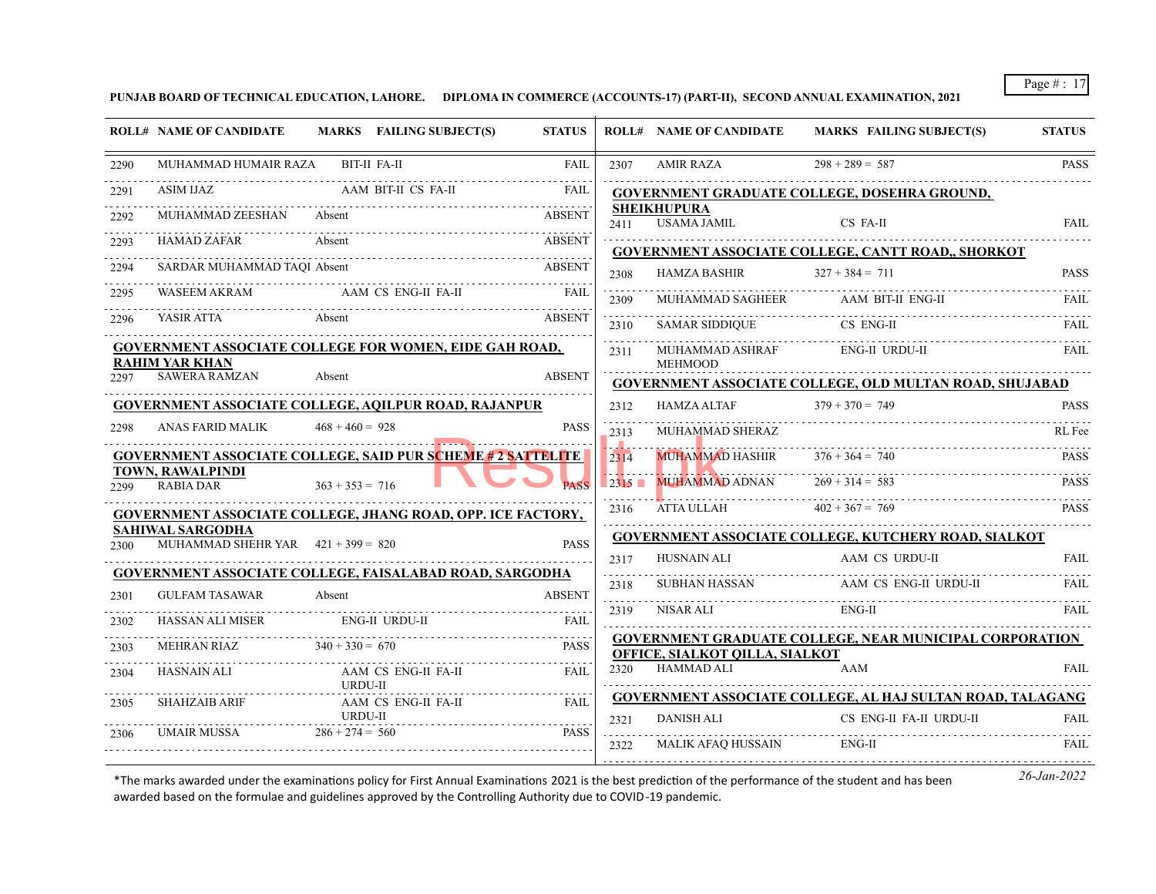**PUNJAB BOARD OF TECHNICAL EDUCATION, LAHORE. DIPLOMA IN COMMERCE (ACCOUNTS-17) (PART-II), SECOND ANNUAL EXAMINATION, 2021**

|      | <b>ROLL# NAME OF CANDIDATE</b>                                  | MARKS FAILING SUBJECT(S)                                           | <b>STATUS</b> |      | <b>ROLL# NAME OF CANDIDATE</b>    | <b>MARKS FAILING SUBJECT(S)</b>                                                     | <b>STATUS</b> |
|------|-----------------------------------------------------------------|--------------------------------------------------------------------|---------------|------|-----------------------------------|-------------------------------------------------------------------------------------|---------------|
| 2290 | MUHAMMAD HUMAIR RAZA BIT-II FA-II                               |                                                                    | FAIL          | 2307 | AMIR RAZA                         | $298 + 289 = 587$                                                                   | <b>PASS</b>   |
| 2291 |                                                                 |                                                                    | FAIL          |      |                                   | GOVERNMENT GRADUATE COLLEGE, DOSEHRA GROUND,                                        |               |
| 2292 | MUHAMMAD ZEESHAN                                                | Absent                                                             | <b>ABSENT</b> | 2411 | <b>SHEIKHUPURA</b><br>USAMA JAMIL | CS FA-II                                                                            | <b>FAIL</b>   |
| 2293 | HAMAD ZAFAR                                                     | Absent                                                             | <b>ABSENT</b> |      |                                   | GOVERNMENT ASSOCIATE COLLEGE, CANTT ROAD,, SHORKOT                                  |               |
| 2294 |                                                                 | SARDAR MUHAMMAD TAQI Absent                                        | <b>ABSENT</b> | 2308 | HAMZA BASHIR                      | $327 + 384 = 711$                                                                   | <b>PASS</b>   |
| 2295 |                                                                 | WASEEM AKRAM AAM CS ENG-II FA-II                                   | FAIL          | 2309 |                                   | MUHAMMAD SAGHEER AAM BIT-II ENG-II                                                  |               |
| 2296 | YASIR ATTA<br>Absent                                            |                                                                    | <b>ABSENT</b> | 2310 | <b>SAMAR SIDDIQUE</b>             | CS ENG-II                                                                           | FAIL          |
|      |                                                                 | <b>GOVERNMENT ASSOCIATE COLLEGE FOR WOMEN, EIDE GAH ROAD,</b>      |               | 2311 | MUHAMMAD ASHRAF                   | ENG-II URDU-II                                                                      |               |
| 2297 | <b>RAHIM YAR KHAN</b><br><b>SAWERA RAMZAN</b>                   | Absent                                                             | <b>ABSENT</b> |      | <b>MEHMOOD</b>                    |                                                                                     |               |
|      |                                                                 | <b>GOVERNMENT ASSOCIATE COLLEGE, AQILPUR ROAD, RAJANPUR</b>        |               | 2312 | HAMZA ALTAF                       | <b>GOVERNMENT ASSOCIATE COLLEGE, OLD MULTAN ROAD, SHUJABAD</b><br>$379 + 370 = 749$ | <b>PASS</b>   |
| 2298 | ANAS FARID MALIK                                                | $468 + 460 = 928$                                                  | <b>PASS</b>   | 2313 | MUHAMMAD SHERAZ                   |                                                                                     | RL Fee        |
|      |                                                                 | <b>GOVERNMENT ASSOCIATE COLLEGE, SAID PUR SCHEME # 2 SATTELITE</b> |               |      |                                   | $376 + 364 = 740$                                                                   |               |
|      | TOWN. RAWALPINDI                                                |                                                                    |               | 2314 | <b>MUHAMMAD HASHIR</b>            |                                                                                     | <b>PASS</b>   |
| 2299 | <b>RABIA DAR</b>                                                | $363 + 353 = 716$                                                  |               |      | 2315 MUHAMMAD ADNAN               | $269 + 314 = 583$                                                                   | <b>PASS</b>   |
|      |                                                                 | <b>GOVERNMENT ASSOCIATE COLLEGE, JHANG ROAD, OPP. ICE FACTORY,</b> |               |      | 2316 ATTA ULLAH $402 + 367 = 769$ |                                                                                     | <b>PASS</b>   |
| 2300 | <b>SAHIWAL SARGODHA</b><br>MUHAMMAD SHEHR YAR $421 + 399 = 820$ |                                                                    | <b>PASS</b>   |      |                                   | <b>GOVERNMENT ASSOCIATE COLLEGE, KUTCHERY ROAD, SIALKOT</b>                         |               |
|      |                                                                 | <b>GOVERNMENT ASSOCIATE COLLEGE, FAISALABAD ROAD, SARGODHA</b>     |               | 2317 | HUSNAIN ALI                       | AAM CS URDU-II                                                                      | FAIL.         |
| 2301 | GULFAM TASAWAR                                                  | Absent                                                             | <b>ABSENT</b> | 2318 |                                   |                                                                                     | FAIL          |
|      | HASSAN ALI MISER ENG-II URDU-II                                 |                                                                    |               | 2319 | NISAR ALI                         | ENG-II                                                                              | FAIL          |
| 2302 |                                                                 |                                                                    | FAIL.         |      |                                   | <b>GOVERNMENT GRADUATE COLLEGE, NEAR MUNICIPAL CORPORATION</b>                      |               |
| 2303 | MEHRAN RIAZ $340 + 330 = 670$                                   |                                                                    | <b>PASS</b>   |      | OFFICE, SIALKOT QILLA, SIALKOT    |                                                                                     |               |
| 2304 |                                                                 | URDU-II                                                            | <b>FAIL</b>   | 2320 | HAMMAD ALI                        | AAM                                                                                 | <b>FAIL</b>   |
| 2305 | <b>SHAHZAIB ARIF</b>                                            | AAM CS ENG-II FA-II                                                | FAIL          |      |                                   | <b>GOVERNMENT ASSOCIATE COLLEGE, AL HAJ SULTAN ROAD, TALAGANG</b>                   |               |
| 2306 | UMAIR MUSSA $286 + 274 = 560$                                   | URDU-II                                                            | <b>PASS</b>   | 2321 | <b>DANISH ALI</b>                 | CS ENG-II FA-II URDU-II                                                             | <b>FAIL</b>   |
|      |                                                                 |                                                                    |               | 2322 | MALIK AFAQ HUSSAIN                | ENG-II                                                                              | FAIL          |
|      |                                                                 |                                                                    |               |      |                                   |                                                                                     |               |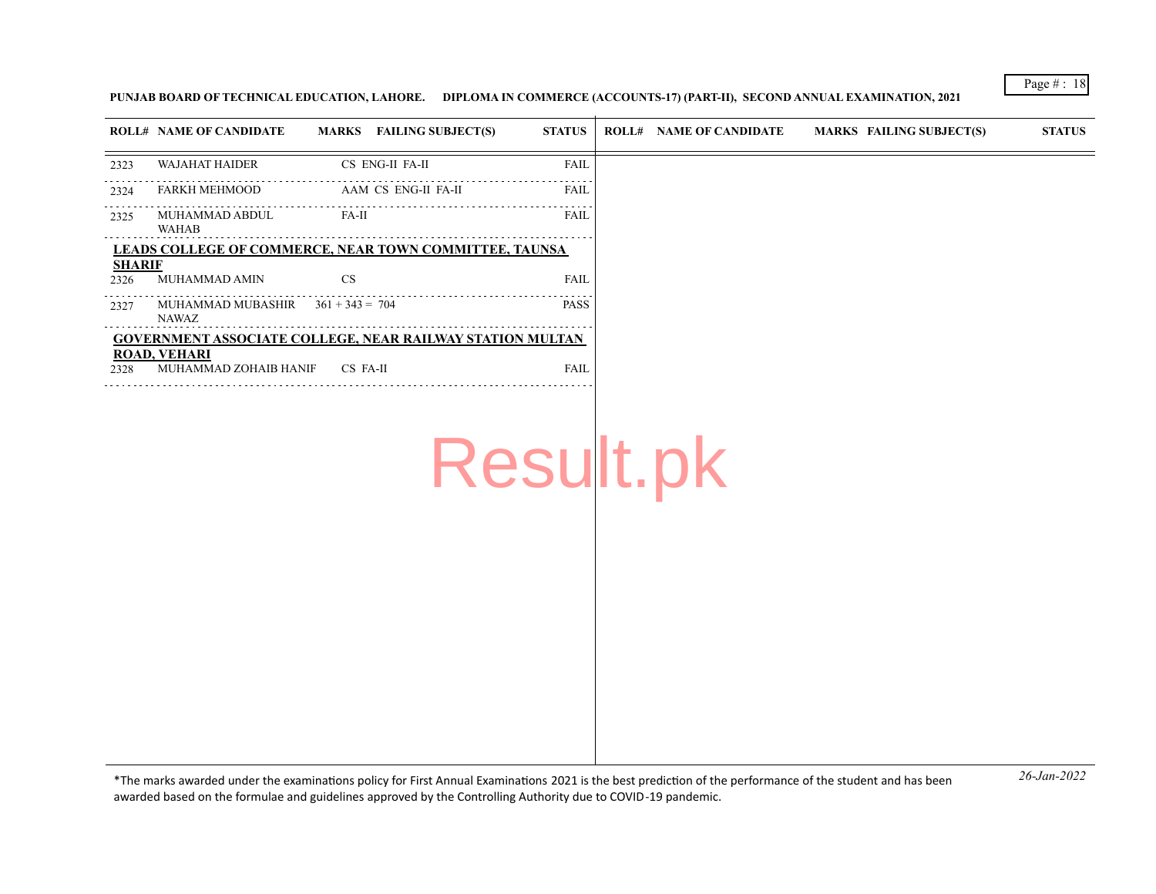#### **PUNJAB BOARD OF TECHNICAL EDUCATION, LAHORE. DIPLOMA IN COMMERCE (ACCOUNTS-17) (PART-II), SECOND ANNUAL EXAMINATION, 2021**

|                       | <b>ROLL# NAME OF CANDIDATE</b>                                   |           | MARKS FAILING SUBJECT(S) | <b>STATUS</b> | <b>ROLL# NAME OF CANDIDATE</b> | MARKS FAILING SUBJECT(S) | <b>STATUS</b> |
|-----------------------|------------------------------------------------------------------|-----------|--------------------------|---------------|--------------------------------|--------------------------|---------------|
|                       | <b>WAJAHAT HAIDER</b>                                            |           | CS ENG-II FA-II          | <b>FAIL</b>   |                                |                          |               |
| 2323                  |                                                                  |           |                          |               |                                |                          |               |
| 2324                  | <b>FARKH MEHMOOD</b>                                             |           | AAM CS ENG-II FA-II      | <b>FAIL</b>   |                                |                          |               |
| 2325                  | MUHAMMAD ABDUL<br>WAHAB                                          | $FA-II$   |                          | <b>FAIL</b>   |                                |                          |               |
|                       | LEADS COLLEGE OF COMMERCE, NEAR TOWN COMMITTEE, TAUNSA           |           |                          |               |                                |                          |               |
| <b>SHARIF</b><br>2326 | MUHAMMAD AMIN                                                    | <b>CS</b> |                          | <b>FAIL</b>   |                                |                          |               |
| 2327                  | MUHAMMAD MUBASHIR $361 + 343 = 704$<br><b>NAWAZ</b>              |           |                          | <b>PASS</b>   |                                |                          |               |
|                       | <b>GOVERNMENT ASSOCIATE COLLEGE, NEAR RAILWAY STATION MULTAN</b> |           |                          |               |                                |                          |               |
| 2328                  | <b>ROAD, VEHARI</b><br>MUHAMMAD ZOHAIB HANIF                     | CS FA-II  |                          | <b>FAIL</b>   |                                |                          |               |
|                       |                                                                  |           |                          |               |                                |                          |               |
|                       |                                                                  |           |                          |               |                                |                          |               |
|                       |                                                                  |           |                          |               |                                |                          |               |
|                       |                                                                  |           |                          |               | Result.pk                      |                          |               |
|                       |                                                                  |           |                          |               |                                |                          |               |
|                       |                                                                  |           |                          |               |                                |                          |               |
|                       |                                                                  |           |                          |               |                                |                          |               |

*26-Jan-2022* \*The marks awarded under the examinatons policy for First Annual Examinatons 2021 is the best predicton of the performance of the student and has been awarded based on the formulae and guidelines approved by the Controlling Authority due to COVID-19 pandemic.